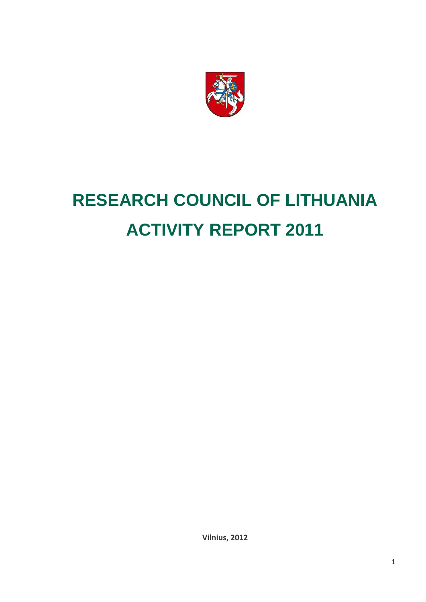

# **RESEARCH COUNCIL OF LITHUANIA ACTIVITY REPORT 2011**

**Vilnius, 2012**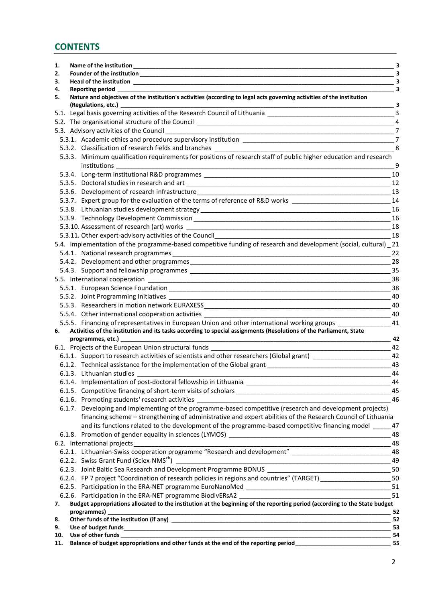# **CONTENTS**

| 1.        | Name of the institution Name of the institution                                                                                                                                                                                            | - 3            |
|-----------|--------------------------------------------------------------------------------------------------------------------------------------------------------------------------------------------------------------------------------------------|----------------|
| 2.        |                                                                                                                                                                                                                                            | - 3            |
| З.        | Head of the institution and the state of the institution                                                                                                                                                                                   | - 3            |
| 4.        | <b>Reporting period</b>                                                                                                                                                                                                                    | - 3            |
| 5.        | Nature and objectives of the institution's activities (according to legal acts governing activities of the institution                                                                                                                     |                |
|           | (Regulations, etc.)                                                                                                                                                                                                                        |                |
|           |                                                                                                                                                                                                                                            |                |
|           |                                                                                                                                                                                                                                            |                |
|           | 5.3. Advisory activities of the Council                                                                                                                                                                                                    | $\overline{7}$ |
|           |                                                                                                                                                                                                                                            |                |
|           | 5.3.2. Classification of research fields and branches and the state of the state of the state of the state of the state of the state of the state of the state of the state of the state of the state of the state of the stat             |                |
|           | 5.3.3. Minimum qualification requirements for positions of research staff of public higher education and research                                                                                                                          |                |
|           | institutions                                                                                                                                                                                                                               | 9              |
|           | 5.3.4. Long-term institutional R&D programmes __________________________________                                                                                                                                                           | 10<br>12       |
|           |                                                                                                                                                                                                                                            | 13             |
|           | 5.3.7. Expert group for the evaluation of the terms of reference of R&D works ______________________                                                                                                                                       | 14             |
|           |                                                                                                                                                                                                                                            | 16             |
|           |                                                                                                                                                                                                                                            | 16             |
|           |                                                                                                                                                                                                                                            |                |
|           | 5.3.11. Other expert-advisory activities of the Council                                                                                                                                                                                    | 18<br>18       |
|           | 5.4. Implementation of the programme-based competitive funding of research and development (social, cultural) _21                                                                                                                          |                |
|           |                                                                                                                                                                                                                                            | 22             |
|           |                                                                                                                                                                                                                                            | 28             |
|           |                                                                                                                                                                                                                                            | 35             |
|           |                                                                                                                                                                                                                                            | 38             |
|           |                                                                                                                                                                                                                                            | 38             |
|           |                                                                                                                                                                                                                                            | 40             |
|           |                                                                                                                                                                                                                                            | 40             |
|           |                                                                                                                                                                                                                                            | 40             |
|           | 5.5.5. Financing of representatives in European Union and other international working groups                                                                                                                                               | 41             |
| 6.        | Activities of the institution and its tasks according to special assignments (Resolutions of the Parliament, State                                                                                                                         |                |
|           | programmes, etc.) <b>contract and the example of the set of the set of the set of the set of the set of the set of the set of the set of the set of the set of the set of the set of the set of the set of the set of the set of</b><br>42 |                |
|           | 6.1. Projects of the European Union structural funds ______                                                                                                                                                                                | 42             |
|           | 6.1.1. Support to research activities of scientists and other researchers (Global grant) __________________________42                                                                                                                      |                |
|           | 6.1.2. Technical assistance for the implementation of the Global grant                                                                                                                                                                     | 43             |
|           |                                                                                                                                                                                                                                            | 44             |
|           |                                                                                                                                                                                                                                            | 44             |
|           |                                                                                                                                                                                                                                            | 45             |
|           |                                                                                                                                                                                                                                            | 46             |
|           | 6.1.7. Developing and implementing of the programme-based competitive (research and development projects)                                                                                                                                  |                |
|           | financing scheme - strengthening of administrative and expert abilities of the Research Council of Lithuania                                                                                                                               |                |
|           | and its functions related to the development of the programme-based competitive financing model _____ 47                                                                                                                                   |                |
|           |                                                                                                                                                                                                                                            | 48             |
|           |                                                                                                                                                                                                                                            | 48             |
|           | 6.2.1. Lithuanian-Swiss cooperation programme "Research and development" __________________________________48                                                                                                                              |                |
|           | 6.2.2. Swiss Grant Fund (Sciex-NMS <sup>ch</sup> )                                                                                                                                                                                         | 49             |
|           |                                                                                                                                                                                                                                            |                |
|           | 6.2.4. FP 7 project "Coordination of research policies in regions and countries" (TARGET) ____________________                                                                                                                             | 50             |
|           |                                                                                                                                                                                                                                            | 51             |
|           | 6.2.6. Participation in the ERA-NET programme BiodivERsA2                                                                                                                                                                                  | 51             |
| 7.        | Budget appropriations allocated to the institution at the beginning of the reporting period (according to the State budget                                                                                                                 |                |
|           | programmes)                                                                                                                                                                                                                                |                |
| 8.        |                                                                                                                                                                                                                                            | - 52           |
| 9.<br>10. |                                                                                                                                                                                                                                            | -53            |
| 11.       | Balance of budget appropriations and other funds at the end of the reporting period___________________________                                                                                                                             | 55             |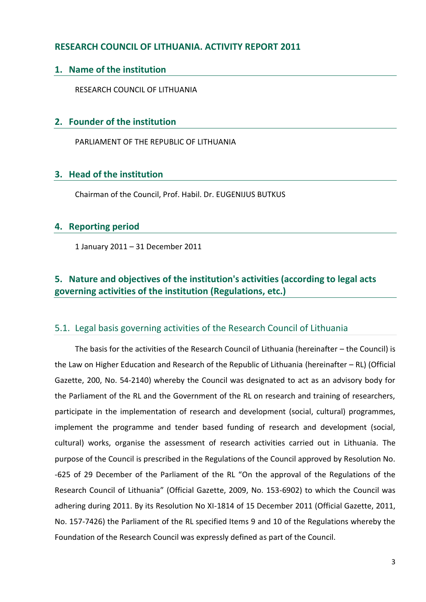# **RESEARCH COUNCIL OF LITHUANIA. ACTIVITY REPORT 2011**

## <span id="page-2-0"></span>**1. Name of the institution**

RESEARCH COUNCIL OF LITHUANIA

## <span id="page-2-1"></span>**2. Founder of the institution**

PARLIAMENT OF THE REPUBLIC OF LITHUANIA

## <span id="page-2-2"></span>**3. Head of the institution**

Chairman of the Council, Prof. Habil. Dr. EUGENIJUS BUTKUS

## <span id="page-2-3"></span>**4. Reporting period**

1 January 2011 – 31 December 2011

# <span id="page-2-4"></span>**5. Nature and objectives of the institution's activities (according to legal acts governing activities of the institution (Regulations, etc.)**

## <span id="page-2-5"></span>5.1. Legal basis governing activities of the Research Council of Lithuania

The basis for the activities of the Research Council of Lithuania (hereinafter – the Council) is the Law on Higher Education and Research of the Republic of Lithuania (hereinafter – RL) (Official Gazette, 200, No. 54-2140) whereby the Council was designated to act as an advisory body for the Parliament of the RL and the Government of the RL on research and training of researchers, participate in the implementation of research and development (social, cultural) programmes, implement the programme and tender based funding of research and development (social, cultural) works, organise the assessment of research activities carried out in Lithuania. The purpose of the Council is prescribed in the Regulations of the Council approved by Resolution No. -625 of 29 December of the Parliament of the RL "On the approval of the Regulations of the Research Council of Lithuania" (Official Gazette, 2009, No. 153-6902) to which the Council was adhering during 2011. By its Resolution No XI-1814 of 15 December 2011 (Official Gazette, 2011, No. 157-7426) the Parliament of the RL specified Items 9 and 10 of the Regulations whereby the Foundation of the Research Council was expressly defined as part of the Council.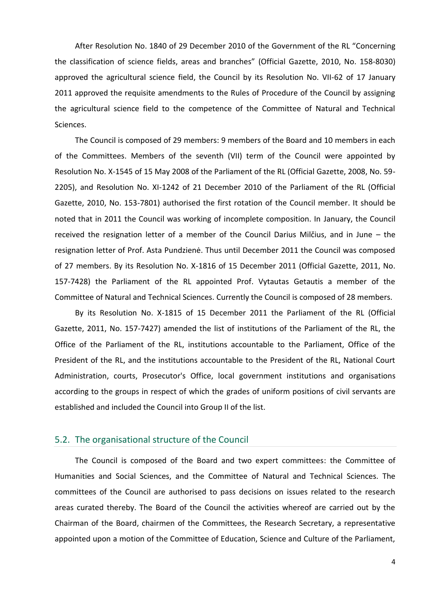After Resolution No. 1840 of 29 December 2010 of the Government of the RL "Concerning the classification of science fields, areas and branches" (Official Gazette, 2010, No. 158-8030) approved the agricultural science field, the Council by its Resolution No. VII-62 of 17 January 2011 approved the requisite amendments to the Rules of Procedure of the Council by assigning the agricultural science field to the competence of the Committee of Natural and Technical Sciences.

The Council is composed of 29 members: 9 members of the Board and 10 members in each of the Committees. Members of the seventh (VII) term of the Council were appointed by Resolution No. X-1545 of 15 May 2008 of the Parliament of the RL (Official Gazette, 2008, No. 59- 2205), and Resolution No. XI-1242 of 21 December 2010 of the Parliament of the RL (Official Gazette, 2010, No. 153-7801) authorised the first rotation of the Council member. It should be noted that in 2011 the Council was working of incomplete composition. In January, the Council received the resignation letter of a member of the Council Darius Milčius, and in June – the resignation letter of Prof. Asta Pundzienė. Thus until December 2011 the Council was composed of 27 members. By its Resolution No. X-1816 of 15 December 2011 (Official Gazette, 2011, No. 157-7428) the Parliament of the RL appointed Prof. Vytautas Getautis a member of the Committee of Natural and Technical Sciences. Currently the Council is composed of 28 members.

By its Resolution No. X-1815 of 15 December 2011 the Parliament of the RL (Official Gazette, 2011, No. 157-7427) amended the list of institutions of the Parliament of the RL, the Office of the Parliament of the RL, institutions accountable to the Parliament, Office of the President of the RL, and the institutions accountable to the President of the RL, National Court Administration, courts, Prosecutor's Office, local government institutions and organisations according to the groups in respect of which the grades of uniform positions of civil servants are established and included the Council into Group II of the list.

## <span id="page-3-0"></span>5.2. The organisational structure of the Council

The Council is composed of the Board and two expert committees: the Committee of Humanities and Social Sciences, and the Committee of Natural and Technical Sciences. The committees of the Council are authorised to pass decisions on issues related to the research areas curated thereby. The Board of the Council the activities whereof are carried out by the Chairman of the Board, chairmen of the Committees, the Research Secretary, a representative appointed upon a motion of the Committee of Education, Science and Culture of the Parliament,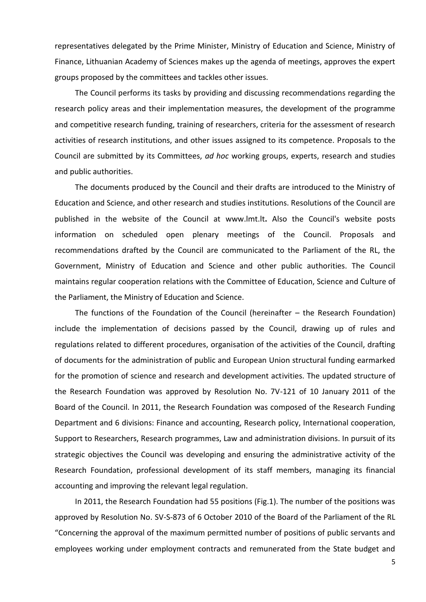representatives delegated by the Prime Minister, Ministry of Education and Science, Ministry of Finance, Lithuanian Academy of Sciences makes up the agenda of meetings, approves the expert groups proposed by the committees and tackles other issues.

The Council performs its tasks by providing and discussing recommendations regarding the research policy areas and their implementation measures, the development of the programme and competitive research funding, training of researchers, criteria for the assessment of research activities of research institutions, and other issues assigned to its competence. Proposals to the Council are submitted by its Committees, *ad hoc* working groups, experts, research and studies and public authorities.

The documents produced by the Council and their drafts are introduced to the Ministry of Education and Science, and other research and studies institutions. Resolutions of the Council are published in the website of the Council at [www.lmt.lt](http://www.lmt.lt/)**.** Also the Council's website posts information on scheduled open plenary meetings of the Council. Proposals and recommendations drafted by the Council are communicated to the Parliament of the RL, the Government, Ministry of Education and Science and other public authorities. The Council maintains regular cooperation relations with the Committee of Education, Science and Culture of the Parliament, the Ministry of Education and Science.

The functions of the Foundation of the Council (hereinafter – the Research Foundation) include the implementation of decisions passed by the Council, drawing up of rules and regulations related to different procedures, organisation of the activities of the Council, drafting of documents for the administration of public and European Union structural funding earmarked for the promotion of science and research and development activities. The updated structure of the Research Foundation was approved by Resolution No. 7V-121 of 10 January 2011 of the Board of the Council. In 2011, the Research Foundation was composed of the Research Funding Department and 6 divisions: Finance and accounting, Research policy, International cooperation, Support to Researchers, Research programmes, Law and administration divisions. In pursuit of its strategic objectives the Council was developing and ensuring the administrative activity of the Research Foundation, professional development of its staff members, managing its financial accounting and improving the relevant legal regulation.

In 2011, the Research Foundation had 55 positions (Fig.1). The number of the positions was approved by Resolution No. SV-S-873 of 6 October 2010 of the Board of the Parliament of the RL "Concerning the approval of the maximum permitted number of positions of public servants and employees working under employment contracts and remunerated from the State budget and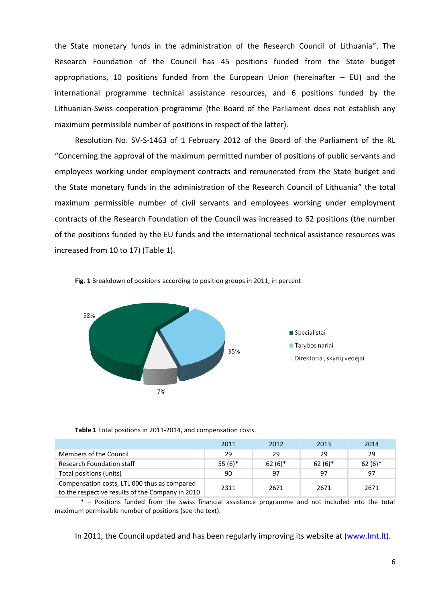the State monetary funds in the administration of the Research Council of Lithuania". The Research Foundation of the Council has 45 positions funded from the State budget appropriations, 10 positions funded from the European Union (hereinafter  $-$  EU) and the international programme technical assistance resources, and 6 positions funded by the Lithuanian-Swiss cooperation programme (the Board of the Parliament does not establish any maximum permissible number of positions in respect of the latter).

Resolution No. SV-S-1463 of 1 February 2012 of the Board of the Parliament of the RL "Concerning the approval of the maximum permitted number of positions of public servants and employees working under employment contracts and remunerated from the State budget and the State monetary funds in the administration of the Research Council of Lithuania" the total maximum permissible number of civil servants and employees working under employment contracts of the Research Foundation of the Council was increased to 62 positions (the number of the positions funded by the EU funds and the international technical assistance resources was increased from 10 to 17) (Table 1).



**Fig. 1** Breakdown of positions according to position groups in 2011, in percent

| Table 1 Total positions in 2011-2014, and compensation costs. |  |
|---------------------------------------------------------------|--|
|---------------------------------------------------------------|--|

|                                                                                                  | 2011      | 2012     | 2013     | 2014     |
|--------------------------------------------------------------------------------------------------|-----------|----------|----------|----------|
| Members of the Council                                                                           | 29        | 29       | 29       | 29       |
| <b>Research Foundation staff</b>                                                                 | $55(6)$ * | $62(6)*$ | $62(6)*$ | $62(6)*$ |
| Total positions (units)                                                                          | 90        | -97      | 97       | 97       |
| Compensation costs, LTL 000 thus as compared<br>to the respective results of the Company in 2010 | 2311      | 2671     | 2671     | 2671     |

\* – Positions funded from the Swiss financial assistance programme and not included into the total maximum permissible number of positions (see the text).

In 2011, the Council updated and has been regularly improving its website at [\(www.lmt.lt\)](http://www.lmt.lt/).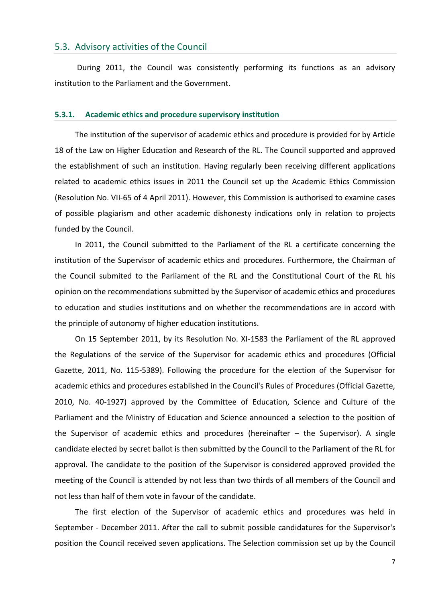## <span id="page-6-0"></span>5.3. Advisory activities of the Council

During 2011, the Council was consistently performing its functions as an advisory institution to the Parliament and the Government.

#### <span id="page-6-1"></span>**5.3.1. Academic ethics and procedure supervisory institution**

The institution of the supervisor of academic ethics and procedure is provided for by Article 18 of the Law on Higher Education and Research of the RL. The Council supported and approved the establishment of such an institution. Having regularly been receiving different applications related to academic ethics issues in 2011 the Council set up the Academic Ethics Commission (Resolution No. VII-65 of 4 April 2011). However, this Commission is authorised to examine cases of possible plagiarism and other academic dishonesty indications only in relation to projects funded by the Council.

In 2011, the Council submitted to the Parliament of the RL a certificate concerning the institution of the Supervisor of academic ethics and procedures. Furthermore, the Chairman of the Council submited to the Parliament of the RL and the Constitutional Court of the RL his opinion on the recommendations submitted by the Supervisor of academic ethics and procedures to education and studies institutions and on whether the recommendations are in accord with the principle of autonomy of higher education institutions.

On 15 September 2011, by its Resolution No. XI-1583 the Parliament of the RL approved the Regulations of the service of the Supervisor for academic ethics and procedures (Official Gazette, 2011, No. 115-5389). Following the procedure for the election of the Supervisor for academic ethics and procedures established in the Council's Rules of Procedures (Official Gazette, 2010, No. 40-1927) approved by the Committee of Education, Science and Culture of the Parliament and the Ministry of Education and Science announced a selection to the position of the Supervisor of academic ethics and procedures (hereinafter – the Supervisor). A single candidate elected by secret ballot is then submitted by the Council to the Parliament of the RL for approval. The candidate to the position of the Supervisor is considered approved provided the meeting of the Council is attended by not less than two thirds of all members of the Council and not less than half of them vote in favour of the candidate.

The first election of the Supervisor of academic ethics and procedures was held in September - December 2011. After the call to submit possible candidatures for the Supervisor's position the Council received seven applications. The Selection commission set up by the Council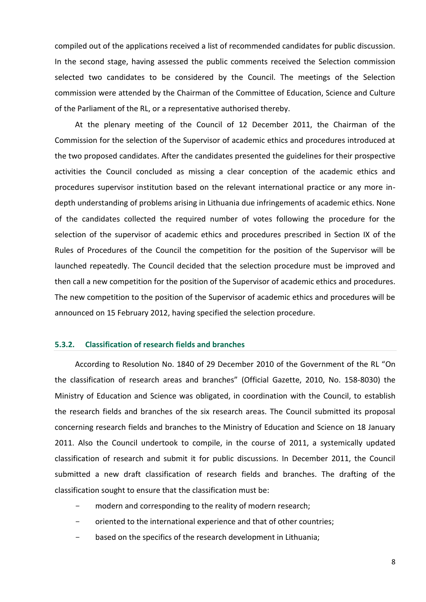compiled out of the applications received a list of recommended candidates for public discussion. In the second stage, having assessed the public comments received the Selection commission selected two candidates to be considered by the Council. The meetings of the Selection commission were attended by the Chairman of the Committee of Education, Science and Culture of the Parliament of the RL, or a representative authorised thereby.

At the plenary meeting of the Council of 12 December 2011, the Chairman of the Commission for the selection of the Supervisor of academic ethics and procedures introduced at the two proposed candidates. After the candidates presented the guidelines for their prospective activities the Council concluded as missing a clear conception of the academic ethics and procedures supervisor institution based on the relevant international practice or any more indepth understanding of problems arising in Lithuania due infringements of academic ethics. None of the candidates collected the required number of votes following the procedure for the selection of the supervisor of academic ethics and procedures prescribed in Section IX of the Rules of Procedures of the Council the competition for the position of the Supervisor will be launched repeatedly. The Council decided that the selection procedure must be improved and then call a new competition for the position of the Supervisor of academic ethics and procedures. The new competition to the position of the Supervisor of academic ethics and procedures will be announced on 15 February 2012, having specified the selection procedure.

#### <span id="page-7-0"></span>**5.3.2. Classification of research fields and branches**

According to Resolution No. 1840 of 29 December 2010 of the Government of the RL "On the classification of research areas and branches" (Official Gazette, 2010, No. 158-8030) the Ministry of Education and Science was obligated, in coordination with the Council, to establish the research fields and branches of the six research areas. The Council submitted its proposal concerning research fields and branches to the Ministry of Education and Science on 18 January 2011. Also the Council undertook to compile, in the course of 2011, a systemically updated classification of research and submit it for public discussions. In December 2011, the Council submitted a new draft classification of research fields and branches. The drafting of the classification sought to ensure that the classification must be:

- modern and corresponding to the reality of modern research;
- oriented to the international experience and that of other countries;
- based on the specifics of the research development in Lithuania;

8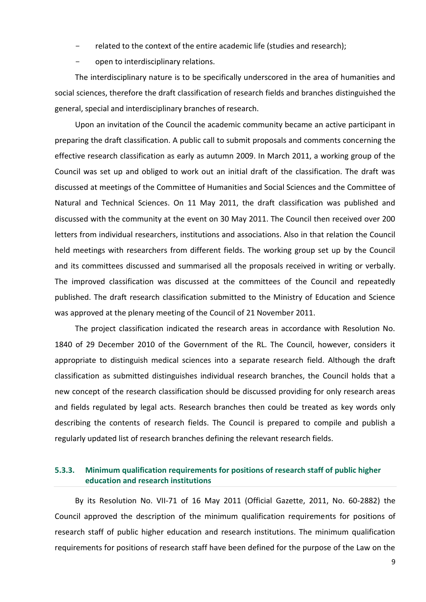- related to the context of the entire academic life (studies and research);
- open to interdisciplinary relations.

The interdisciplinary nature is to be specifically underscored in the area of humanities and social sciences, therefore the draft classification of research fields and branches distinguished the general, special and interdisciplinary branches of research.

Upon an invitation of the Council the academic community became an active participant in preparing the draft classification. A public call to submit proposals and comments concerning the effective research classification as early as autumn 2009. In March 2011, a working group of the Council was set up and obliged to work out an initial draft of the classification. The draft was discussed at meetings of the Committee of Humanities and Social Sciences and the Committee of Natural and Technical Sciences. On 11 May 2011, the draft classification was published and discussed with the community at the event on 30 May 2011. The Council then received over 200 letters from individual researchers, institutions and associations. Also in that relation the Council held meetings with researchers from different fields. The working group set up by the Council and its committees discussed and summarised all the proposals received in writing or verbally. The improved classification was discussed at the committees of the Council and repeatedly published. The draft research classification submitted to the Ministry of Education and Science was approved at the plenary meeting of the Council of 21 November 2011.

The project classification indicated the research areas in accordance with Resolution No. 1840 of 29 December 2010 of the Government of the RL. The Council, however, considers it appropriate to distinguish medical sciences into a separate research field. Although the draft classification as submitted distinguishes individual research branches, the Council holds that a new concept of the research classification should be discussed providing for only research areas and fields regulated by legal acts. Research branches then could be treated as key words only describing the contents of research fields. The Council is prepared to compile and publish a regularly updated list of research branches defining the relevant research fields.

## <span id="page-8-0"></span>**5.3.3. Minimum qualification requirements for positions of research staff of public higher education and research institutions**

By its Resolution No. VII-71 of 16 May 2011 (Official Gazette, 2011, No. 60-2882) the Council approved the description of the minimum qualification requirements for positions of research staff of public higher education and research institutions. The minimum qualification requirements for positions of research staff have been defined for the purpose of the Law on the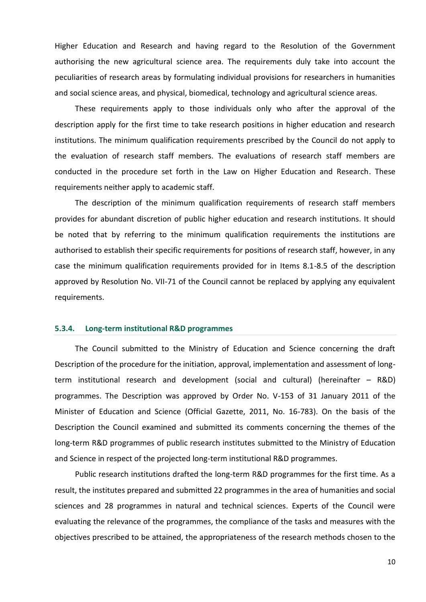Higher Education and Research and having regard to the Resolution of the Government authorising the new agricultural science area. The requirements duly take into account the peculiarities of research areas by formulating individual provisions for researchers in humanities and social science areas, and physical, biomedical, technology and agricultural science areas.

These requirements apply to those individuals only who after the approval of the description apply for the first time to take research positions in higher education and research institutions. The minimum qualification requirements prescribed by the Council do not apply to the evaluation of research staff members. The evaluations of research staff members are conducted in the procedure set forth in the Law on Higher Education and Research. These requirements neither apply to academic staff.

The description of the minimum qualification requirements of research staff members provides for abundant discretion of public higher education and research institutions. It should be noted that by referring to the minimum qualification requirements the institutions are authorised to establish their specific requirements for positions of research staff, however, in any case the minimum qualification requirements provided for in Items 8.1-8.5 of the description approved by Resolution No. VII-71 of the Council cannot be replaced by applying any equivalent requirements.

#### <span id="page-9-0"></span>**5.3.4. Long-term institutional R&D programmes**

The Council submitted to the Ministry of Education and Science concerning the draft Description of the procedure for the initiation, approval, implementation and assessment of longterm institutional research and development (social and cultural) (hereinafter – R&D) programmes. The Description was approved by Order No. V-153 of 31 January 2011 of the Minister of Education and Science (Official Gazette, 2011, No. 16-783). On the basis of the Description the Council examined and submitted its comments concerning the themes of the long-term R&D programmes of public research institutes submitted to the Ministry of Education and Science in respect of the projected long-term institutional R&D programmes.

Public research institutions drafted the long-term R&D programmes for the first time. As a result, the institutes prepared and submitted 22 programmes in the area of humanities and social sciences and 28 programmes in natural and technical sciences. Experts of the Council were evaluating the relevance of the programmes, the compliance of the tasks and measures with the objectives prescribed to be attained, the appropriateness of the research methods chosen to the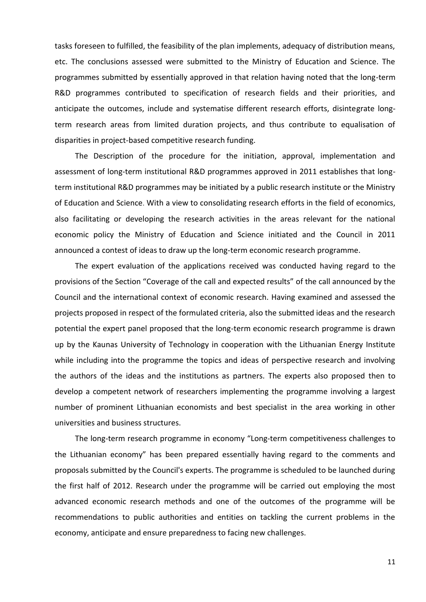tasks foreseen to fulfilled, the feasibility of the plan implements, adequacy of distribution means, etc. The conclusions assessed were submitted to the Ministry of Education and Science. The programmes submitted by essentially approved in that relation having noted that the long-term R&D programmes contributed to specification of research fields and their priorities, and anticipate the outcomes, include and systematise different research efforts, disintegrate longterm research areas from limited duration projects, and thus contribute to equalisation of disparities in project-based competitive research funding.

The Description of the procedure for the initiation, approval, implementation and assessment of long-term institutional R&D programmes approved in 2011 establishes that longterm institutional R&D programmes may be initiated by a public research institute or the Ministry of Education and Science. With a view to consolidating research efforts in the field of economics, also facilitating or developing the research activities in the areas relevant for the national economic policy the Ministry of Education and Science initiated and the Council in 2011 announced a contest of ideas to draw up the long-term economic research programme.

The expert evaluation of the applications received was conducted having regard to the provisions of the Section "Coverage of the call and expected results" of the call announced by the Council and the international context of economic research. Having examined and assessed the projects proposed in respect of the formulated criteria, also the submitted ideas and the research potential the expert panel proposed that the long-term economic research programme is drawn up by the Kaunas University of Technology in cooperation with the Lithuanian Energy Institute while including into the programme the topics and ideas of perspective research and involving the authors of the ideas and the institutions as partners. The experts also proposed then to develop a competent network of researchers implementing the programme involving a largest number of prominent Lithuanian economists and best specialist in the area working in other universities and business structures.

The long-term research programme in economy "Long-term competitiveness challenges to the Lithuanian economy" has been prepared essentially having regard to the comments and proposals submitted by the Council's experts. The programme is scheduled to be launched during the first half of 2012. Research under the programme will be carried out employing the most advanced economic research methods and one of the outcomes of the programme will be recommendations to public authorities and entities on tackling the current problems in the economy, anticipate and ensure preparedness to facing new challenges.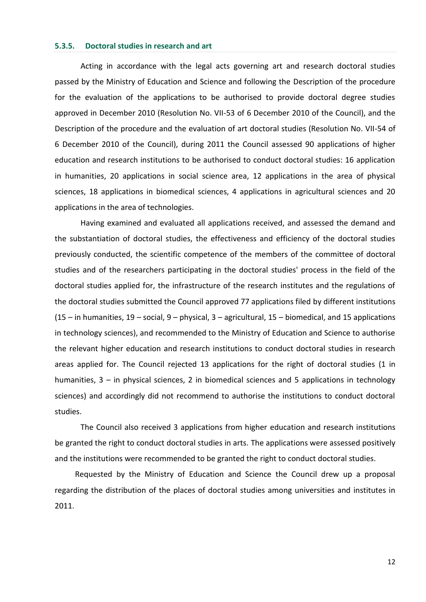#### <span id="page-11-0"></span>**5.3.5. Doctoral studies in research and art**

Acting in accordance with the legal acts governing art and research doctoral studies passed by the Ministry of Education and Science and following the Description of the procedure for the evaluation of the applications to be authorised to provide doctoral degree studies approved in December 2010 (Resolution No. VII-53 of 6 December 2010 of the Council), and the Description of the procedure and the evaluation of art doctoral studies (Resolution No. VII-54 of 6 December 2010 of the Council), during 2011 the Council assessed 90 applications of higher education and research institutions to be authorised to conduct doctoral studies: 16 application in humanities, 20 applications in social science area, 12 applications in the area of physical sciences, 18 applications in biomedical sciences, 4 applications in agricultural sciences and 20 applications in the area of technologies.

Having examined and evaluated all applications received, and assessed the demand and the substantiation of doctoral studies, the effectiveness and efficiency of the doctoral studies previously conducted, the scientific competence of the members of the committee of doctoral studies and of the researchers participating in the doctoral studies' process in the field of the doctoral studies applied for, the infrastructure of the research institutes and the regulations of the doctoral studies submitted the Council approved 77 applications filed by different institutions (15 – in humanities, 19 – social, 9 – physical, 3 – agricultural, 15 – biomedical, and 15 applications in technology sciences), and recommended to the Ministry of Education and Science to authorise the relevant higher education and research institutions to conduct doctoral studies in research areas applied for. The Council rejected 13 applications for the right of doctoral studies (1 in humanities, 3 – in physical sciences, 2 in biomedical sciences and 5 applications in technology sciences) and accordingly did not recommend to authorise the institutions to conduct doctoral studies.

The Council also received 3 applications from higher education and research institutions be granted the right to conduct doctoral studies in arts. The applications were assessed positively and the institutions were recommended to be granted the right to conduct doctoral studies.

Requested by the Ministry of Education and Science the Council drew up a proposal regarding the distribution of the places of doctoral studies among universities and institutes in 2011.

12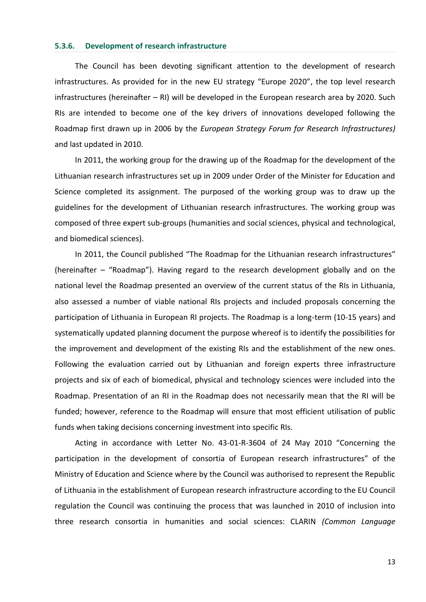#### <span id="page-12-0"></span>**5.3.6. Development of research infrastructure**

The Council has been devoting significant attention to the development of research infrastructures. As provided for in the new EU strategy "Europe 2020", the top level research infrastructures (hereinafter – RI) will be developed in the European research area by 2020. Such RIs are intended to become one of the key drivers of innovations developed following the Roadmap first drawn up in 2006 by the *European Strategy Forum for Research Infrastructures)* and last updated in 2010.

In 2011, the working group for the drawing up of the Roadmap for the development of the Lithuanian research infrastructures set up in 2009 under Order of the Minister for Education and Science completed its assignment. The purposed of the working group was to draw up the guidelines for the development of Lithuanian research infrastructures. The working group was composed of three expert sub-groups (humanities and social sciences, physical and technological, and biomedical sciences).

In 2011, the Council published "The Roadmap for the Lithuanian research infrastructures" (hereinafter – "Roadmap"). Having regard to the research development globally and on the national level the Roadmap presented an overview of the current status of the RIs in Lithuania, also assessed a number of viable national RIs projects and included proposals concerning the participation of Lithuania in European RI projects. The Roadmap is a long-term (10-15 years) and systematically updated planning document the purpose whereof is to identify the possibilities for the improvement and development of the existing RIs and the establishment of the new ones. Following the evaluation carried out by Lithuanian and foreign experts three infrastructure projects and six of each of biomedical, physical and technology sciences were included into the Roadmap. Presentation of an RI in the Roadmap does not necessarily mean that the RI will be funded; however, reference to the Roadmap will ensure that most efficient utilisation of public funds when taking decisions concerning investment into specific RIs.

Acting in accordance with Letter No. 43-01-R-3604 of 24 May 2010 "Concerning the participation in the development of consortia of European research infrastructures" of the Ministry of Education and Science where by the Council was authorised to represent the Republic of Lithuania in the establishment of European research infrastructure according to the EU Council regulation the Council was continuing the process that was launched in 2010 of inclusion into three research consortia in humanities and social sciences: CLARIN *(Common Language*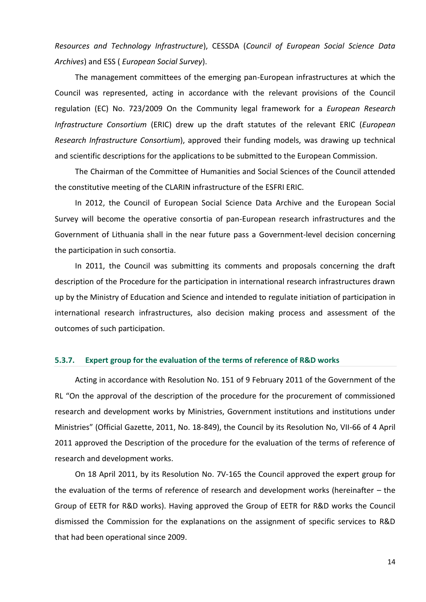*Resources and Technology Infrastructure*), CESSDA (*Council of European Social Science Data Archives*) and ESS ( *European Social Survey*).

The management committees of the emerging pan-European infrastructures at which the Council was represented, acting in accordance with the relevant provisions of the Council regulation (EC) No. 723/2009 On the Community legal framework for a *European Research Infrastructure Consortium* (ERIC) drew up the draft statutes of the relevant ERIC (*European Research Infrastructure Consortium*), approved their funding models, was drawing up technical and scientific descriptions for the applications to be submitted to the European Commission.

The Chairman of the Committee of Humanities and Social Sciences of the Council attended the constitutive meeting of the CLARIN infrastructure of the ESFRI ERIC.

In 2012, the Council of European Social Science Data Archive and the European Social Survey will become the operative consortia of pan-European research infrastructures and the Government of Lithuania shall in the near future pass a Government-level decision concerning the participation in such consortia.

In 2011, the Council was submitting its comments and proposals concerning the draft description of the Procedure for the participation in international research infrastructures drawn up by the Ministry of Education and Science and intended to regulate initiation of participation in international research infrastructures, also decision making process and assessment of the outcomes of such participation.

#### <span id="page-13-0"></span>**5.3.7. Expert group for the evaluation of the terms of reference of R&D works**

Acting in accordance with Resolution No. 151 of 9 February 2011 of the Government of the RL "On the approval of the description of the procedure for the procurement of commissioned research and development works by Ministries, Government institutions and institutions under Ministries" (Official Gazette, 2011, No. 18-849), the Council by its Resolution No, VII-66 of 4 April 2011 approved the Description of the procedure for the evaluation of the terms of reference of research and development works.

On 18 April 2011, by its Resolution No. 7V-165 the Council approved the expert group for the evaluation of the terms of reference of research and development works (hereinafter – the Group of EETR for R&D works). Having approved the Group of EETR for R&D works the Council dismissed the Commission for the explanations on the assignment of specific services to R&D that had been operational since 2009.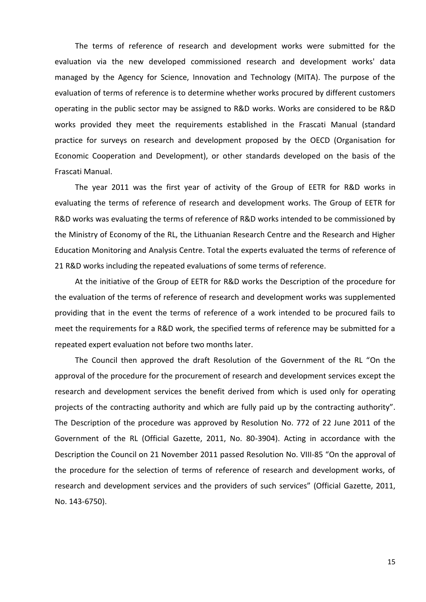The terms of reference of research and development works were submitted for the evaluation via the new developed commissioned research and development works' data managed by the Agency for Science, Innovation and Technology (MITA). The purpose of the evaluation of terms of reference is to determine whether works procured by different customers operating in the public sector may be assigned to R&D works. Works are considered to be R&D works provided they meet the requirements established in the Frascati Manual (standard practice for surveys on research and development proposed by the OECD (Organisation for Economic Cooperation and Development), or other standards developed on the basis of the Frascati Manual.

The year 2011 was the first year of activity of the Group of EETR for R&D works in evaluating the terms of reference of research and development works. The Group of EETR for R&D works was evaluating the terms of reference of R&D works intended to be commissioned by the Ministry of Economy of the RL, the Lithuanian Research Centre and the Research and Higher Education Monitoring and Analysis Centre. Total the experts evaluated the terms of reference of 21 R&D works including the repeated evaluations of some terms of reference.

At the initiative of the Group of EETR for R&D works the Description of the procedure for the evaluation of the terms of reference of research and development works was supplemented providing that in the event the terms of reference of a work intended to be procured fails to meet the requirements for a R&D work, the specified terms of reference may be submitted for a repeated expert evaluation not before two months later.

The Council then approved the draft Resolution of the Government of the RL "On the approval of the procedure for the procurement of research and development services except the research and development services the benefit derived from which is used only for operating projects of the contracting authority and which are fully paid up by the contracting authority". The Description of the procedure was approved by Resolution No. 772 of 22 June 2011 of the Government of the RL (Official Gazette, 2011, No. 80-3904). Acting in accordance with the Description the Council on 21 November 2011 passed Resolution No. VIII-85 "On the approval of the procedure for the selection of terms of reference of research and development works, of research and development services and the providers of such services" (Official Gazette, 2011, No. 143-6750).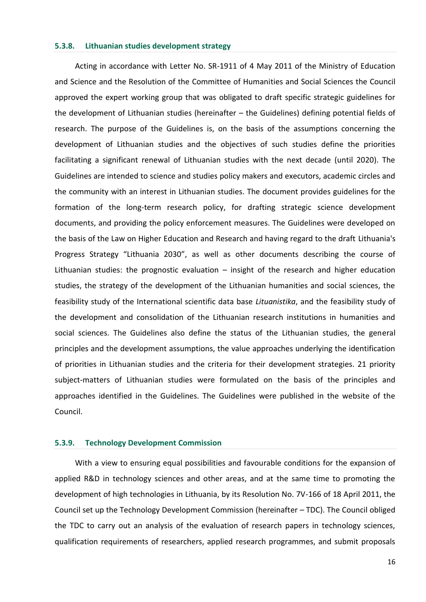#### <span id="page-15-0"></span>**5.3.8. Lithuanian studies development strategy**

Acting in accordance with Letter No. SR-1911 of 4 May 2011 of the Ministry of Education and Science and the Resolution of the Committee of Humanities and Social Sciences the Council approved the expert working group that was obligated to draft specific strategic guidelines for the development of Lithuanian studies (hereinafter – the Guidelines) defining potential fields of research. The purpose of the Guidelines is, on the basis of the assumptions concerning the development of Lithuanian studies and the objectives of such studies define the priorities facilitating a significant renewal of Lithuanian studies with the next decade (until 2020). The Guidelines are intended to science and studies policy makers and executors, academic circles and the community with an interest in Lithuanian studies. The document provides guidelines for the formation of the long-term research policy, for drafting strategic science development documents, and providing the policy enforcement measures. The Guidelines were developed on the basis of the Law on Higher Education and Research and having regard to the draft Lithuania's Progress Strategy "Lithuania 2030", as well as other documents describing the course of Lithuanian studies: the prognostic evaluation – insight of the research and higher education studies, the strategy of the development of the Lithuanian humanities and social sciences, the feasibility study of the International scientific data base *Lituanistika*, and the feasibility study of the development and consolidation of the Lithuanian research institutions in humanities and social sciences. The Guidelines also define the status of the Lithuanian studies, the general principles and the development assumptions, the value approaches underlying the identification of priorities in Lithuanian studies and the criteria for their development strategies. 21 priority subject-matters of Lithuanian studies were formulated on the basis of the principles and approaches identified in the Guidelines. The Guidelines were published in the website of the Council.

#### <span id="page-15-1"></span>**5.3.9. Technology Development Commission**

With a view to ensuring equal possibilities and favourable conditions for the expansion of applied R&D in technology sciences and other areas, and at the same time to promoting the development of high technologies in Lithuania, by its Resolution No. 7V-166 of 18 April 2011, the Council set up the Technology Development Commission (hereinafter – TDC). The Council obliged the TDC to carry out an analysis of the evaluation of research papers in technology sciences, qualification requirements of researchers, applied research programmes, and submit proposals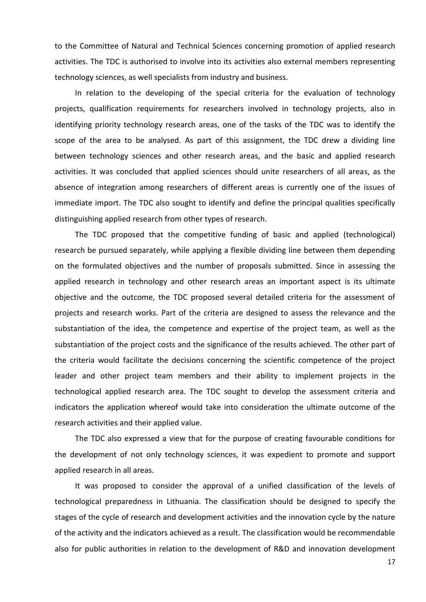to the Committee of Natural and Technical Sciences concerning promotion of applied research activities. The TDC is authorised to involve into its activities also external members representing technology sciences, as well specialists from industry and business.

In relation to the developing of the special criteria for the evaluation of technology projects, qualification requirements for researchers involved in technology projects, also in identifying priority technology research areas, one of the tasks of the TDC was to identify the scope of the area to be analysed. As part of this assignment, the TDC drew a dividing line between technology sciences and other research areas, and the basic and applied research activities. It was concluded that applied sciences should unite researchers of all areas, as the absence of integration among researchers of different areas is currently one of the issues of immediate import. The TDC also sought to identify and define the principal qualities specifically distinguishing applied research from other types of research.

The TDC proposed that the competitive funding of basic and applied (technological) research be pursued separately, while applying a flexible dividing line between them depending on the formulated objectives and the number of proposals submitted. Since in assessing the applied research in technology and other research areas an important aspect is its ultimate objective and the outcome, the TDC proposed several detailed criteria for the assessment of projects and research works. Part of the criteria are designed to assess the relevance and the substantiation of the idea, the competence and expertise of the project team, as well as the substantiation of the project costs and the significance of the results achieved. The other part of the criteria would facilitate the decisions concerning the scientific competence of the project leader and other project team members and their ability to implement projects in the technological applied research area. The TDC sought to develop the assessment criteria and indicators the application whereof would take into consideration the ultimate outcome of the research activities and their applied value.

The TDC also expressed a view that for the purpose of creating favourable conditions for the development of not only technology sciences, it was expedient to promote and support applied research in all areas.

It was proposed to consider the approval of a unified classification of the levels of technological preparedness in Lithuania. The classification should be designed to specify the stages of the cycle of research and development activities and the innovation cycle by the nature of the activity and the indicators achieved as a result. The classification would be recommendable also for public authorities in relation to the development of R&D and innovation development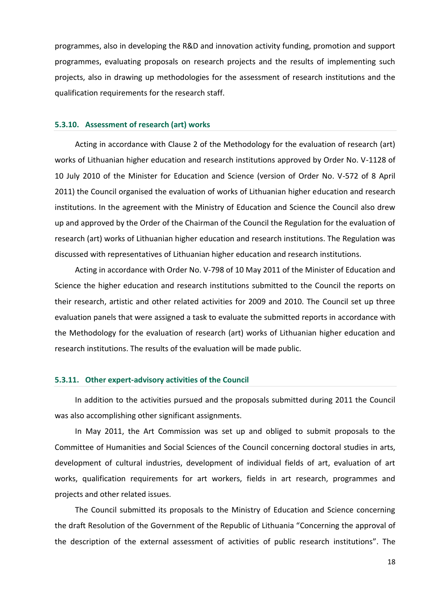programmes, also in developing the R&D and innovation activity funding, promotion and support programmes, evaluating proposals on research projects and the results of implementing such projects, also in drawing up methodologies for the assessment of research institutions and the qualification requirements for the research staff.

#### <span id="page-17-0"></span>**5.3.10. Assessment of research (art) works**

Acting in accordance with Clause 2 of the Methodology for the evaluation of research (art) works of Lithuanian higher education and research institutions approved by Order No. V-1128 of 10 July 2010 of the Minister for Education and Science (version of Order No. V-572 of 8 April 2011) the Council organised the evaluation of works of Lithuanian higher education and research institutions. In the agreement with the Ministry of Education and Science the Council also drew up and approved by the Order of the Chairman of the Council the Regulation for the evaluation of research (art) works of Lithuanian higher education and research institutions. The Regulation was discussed with representatives of Lithuanian higher education and research institutions.

Acting in accordance with Order No. V-798 of 10 May 2011 of the Minister of Education and Science the higher education and research institutions submitted to the Council the reports on their research, artistic and other related activities for 2009 and 2010. The Council set up three evaluation panels that were assigned a task to evaluate the submitted reports in accordance with the Methodology for the evaluation of research (art) works of Lithuanian higher education and research institutions. The results of the evaluation will be made public.

#### <span id="page-17-1"></span>**5.3.11. Other expert-advisory activities of the Council**

In addition to the activities pursued and the proposals submitted during 2011 the Council was also accomplishing other significant assignments.

In May 2011, the Art Commission was set up and obliged to submit proposals to the Committee of Humanities and Social Sciences of the Council concerning doctoral studies in arts, development of cultural industries, development of individual fields of art, evaluation of art works, qualification requirements for art workers, fields in art research, programmes and projects and other related issues.

The Council submitted its proposals to the Ministry of Education and Science concerning the draft Resolution of the Government of the Republic of Lithuania "Concerning the approval of the description of the external assessment of activities of public research institutions". The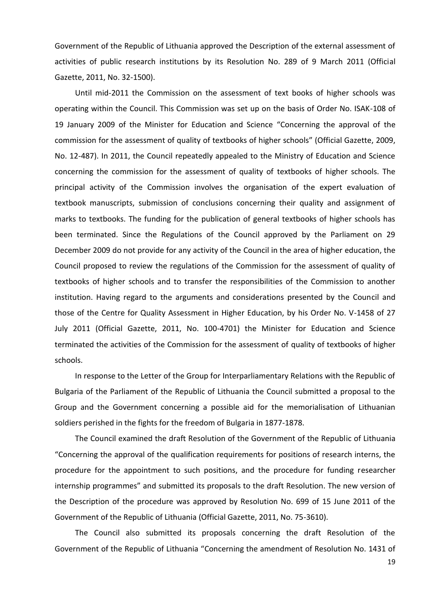Government of the Republic of Lithuania approved the Description of the external assessment of activities of public research institutions by its Resolution No. 289 of 9 March 2011 (Official Gazette, 2011, No. 32-1500).

Until mid-2011 the Commission on the assessment of text books of higher schools was operating within the Council. This Commission was set up on the basis of Order No. ISAK-108 of 19 January 2009 of the Minister for Education and Science "Concerning the approval of the commission for the assessment of quality of textbooks of higher schools" (Official Gazette, 2009, No. 12-487). In 2011, the Council repeatedly appealed to the Ministry of Education and Science concerning the commission for the assessment of quality of textbooks of higher schools. The principal activity of the Commission involves the organisation of the expert evaluation of textbook manuscripts, submission of conclusions concerning their quality and assignment of marks to textbooks. The funding for the publication of general textbooks of higher schools has been terminated. Since the Regulations of the Council approved by the Parliament on 29 December 2009 do not provide for any activity of the Council in the area of higher education, the Council proposed to review the regulations of the Commission for the assessment of quality of textbooks of higher schools and to transfer the responsibilities of the Commission to another institution. Having regard to the arguments and considerations presented by the Council and those of the Centre for Quality Assessment in Higher Education, by his Order No. V-1458 of 27 July 2011 (Official Gazette, 2011, No. 100-4701) the Minister for Education and Science terminated the activities of the Commission for the assessment of quality of textbooks of higher schools.

In response to the Letter of the Group for Interparliamentary Relations with the Republic of Bulgaria of the Parliament of the Republic of Lithuania the Council submitted a proposal to the Group and the Government concerning a possible aid for the memorialisation of Lithuanian soldiers perished in the fights for the freedom of Bulgaria in 1877-1878.

The Council examined the draft Resolution of the Government of the Republic of Lithuania "Concerning the approval of the qualification requirements for positions of research interns, the procedure for the appointment to such positions, and the procedure for funding researcher internship programmes" and submitted its proposals to the draft Resolution. The new version of the Description of the procedure was approved by Resolution No. 699 of 15 June 2011 of the Government of the Republic of Lithuania (Official Gazette, 2011, No. 75-3610).

The Council also submitted its proposals concerning the draft Resolution of the Government of the Republic of Lithuania "Concerning the amendment of Resolution No. 1431 of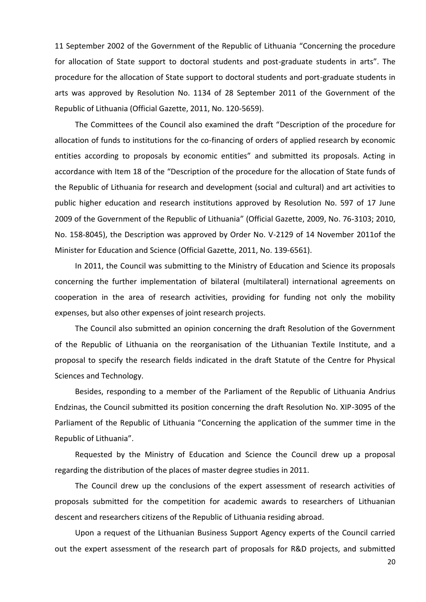11 September 2002 of the Government of the Republic of Lithuania "Concerning the procedure for allocation of State support to doctoral students and post-graduate students in arts". The procedure for the allocation of State support to doctoral students and port-graduate students in arts was approved by Resolution No. 1134 of 28 September 2011 of the Government of the Republic of Lithuania (Official Gazette, 2011, No. 120-5659).

The Committees of the Council also examined the draft "Description of the procedure for allocation of funds to institutions for the co-financing of orders of applied research by economic entities according to proposals by economic entities" and submitted its proposals. Acting in accordance with Item 18 of the "Description of the procedure for the allocation of State funds of the Republic of Lithuania for research and development (social and cultural) and art activities to public higher education and research institutions approved by Resolution No. 597 of 17 June 2009 of the Government of the Republic of Lithuania" (Official Gazette, 2009, No. 76-3103; 2010, No. 158-8045), the Description was approved by Order No. V-2129 of 14 November 2011of the Minister for Education and Science (Official Gazette, 2011, No. 139-6561).

In 2011, the Council was submitting to the Ministry of Education and Science its proposals concerning the further implementation of bilateral (multilateral) international agreements on cooperation in the area of research activities, providing for funding not only the mobility expenses, but also other expenses of joint research projects.

The Council also submitted an opinion concerning the draft Resolution of the Government of the Republic of Lithuania on the reorganisation of the Lithuanian Textile Institute, and a proposal to specify the research fields indicated in the draft Statute of the Centre for Physical Sciences and Technology.

Besides, responding to a member of the Parliament of the Republic of Lithuania Andrius Endzinas, the Council submitted its position concerning the draft Resolution No. XIP-3095 of the Parliament of the Republic of Lithuania "Concerning the application of the summer time in the Republic of Lithuania".

Requested by the Ministry of Education and Science the Council drew up a proposal regarding the distribution of the places of master degree studies in 2011.

The Council drew up the conclusions of the expert assessment of research activities of proposals submitted for the competition for academic awards to researchers of Lithuanian descent and researchers citizens of the Republic of Lithuania residing abroad.

Upon a request of the Lithuanian Business Support Agency experts of the Council carried out the expert assessment of the research part of proposals for R&D projects, and submitted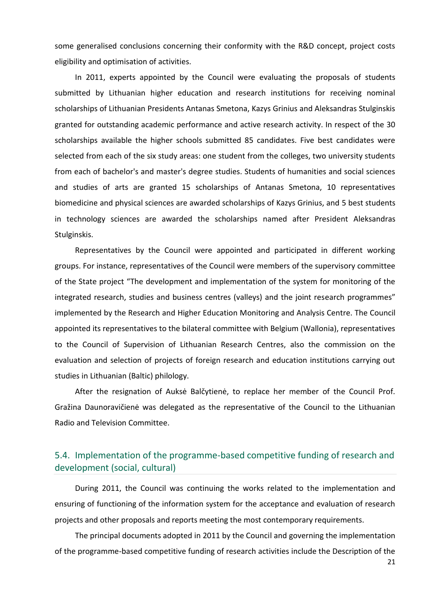some generalised conclusions concerning their conformity with the R&D concept, project costs eligibility and optimisation of activities.

In 2011, experts appointed by the Council were evaluating the proposals of students submitted by Lithuanian higher education and research institutions for receiving nominal scholarships of Lithuanian Presidents Antanas Smetona, Kazys Grinius and Aleksandras Stulginskis granted for outstanding academic performance and active research activity. In respect of the 30 scholarships available the higher schools submitted 85 candidates. Five best candidates were selected from each of the six study areas: one student from the colleges, two university students from each of bachelor's and master's degree studies. Students of humanities and social sciences and studies of arts are granted 15 scholarships of Antanas Smetona, 10 representatives biomedicine and physical sciences are awarded scholarships of Kazys Grinius, and 5 best students in technology sciences are awarded the scholarships named after President Aleksandras Stulginskis.

Representatives by the Council were appointed and participated in different working groups. For instance, representatives of the Council were members of the supervisory committee of the State project "The development and implementation of the system for monitoring of the integrated research, studies and business centres (valleys) and the joint research programmes" implemented by the Research and Higher Education Monitoring and Analysis Centre. The Council appointed its representatives to the bilateral committee with Belgium (Wallonia), representatives to the Council of Supervision of Lithuanian Research Centres, also the commission on the evaluation and selection of projects of foreign research and education institutions carrying out studies in Lithuanian (Baltic) philology.

After the resignation of Auksė Balčytienė, to replace her member of the Council Prof. Gražina Daunoravičienė was delegated as the representative of the Council to the Lithuanian Radio and Television Committee.

## <span id="page-20-0"></span>5.4. Implementation of the programme-based competitive funding of research and development (social, cultural)

During 2011, the Council was continuing the works related to the implementation and ensuring of functioning of the information system for the acceptance and evaluation of research projects and other proposals and reports meeting the most contemporary requirements.

The principal documents adopted in 2011 by the Council and governing the implementation of the programme-based competitive funding of research activities include the Description of the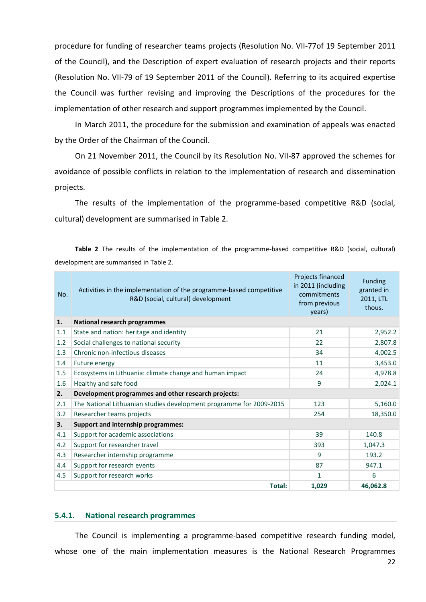procedure for funding of researcher teams projects (Resolution No. [VII-77o](http://www.lmt.lt/DOKUMENTAI/Tarybos_nutarimai/VII/N7-52.doc)f 19 September 2011 of the Council), and the Description of expert evaluation of research projects and their reports (Resolution No. VII-[79](http://www.lmt.lt/DOKUMENTAI/Tarybos_nutarimai/VII/N7-52.doc) of 19 September 2011 of the Council). Referring to its acquired expertise the Council was further revising and improving the Descriptions of the procedures for the implementation of other research and support programmes implemented by the Council.

In March 2011, the procedure for the submission and examination of appeals was enacted by the Order of the Chairman of the Council.

On 21 November 2011, the Council by its Resolution No. VII-87 approved the schemes for avoidance of possible conflicts in relation to the implementation of research and dissemination projects.

The results of the implementation of the programme-based competitive R&D (social, cultural) development are summarised in Table 2.

**Table 2** The results of the implementation of the programme-based competitive R&D (social, cultural) development are summarised in Table 2.

| No. | Activities in the implementation of the programme-based competitive<br>R&D (social, cultural) development | Projects financed<br>in 2011 (including<br>commitments<br>from previous<br>years) | <b>Funding</b><br>granted in<br>2011, LTL<br>thous. |
|-----|-----------------------------------------------------------------------------------------------------------|-----------------------------------------------------------------------------------|-----------------------------------------------------|
| 1.  | <b>National research programmes</b>                                                                       |                                                                                   |                                                     |
| 1.1 | State and nation: heritage and identity                                                                   | 21                                                                                | 2,952.2                                             |
| 1.2 | Social challenges to national security                                                                    | 22                                                                                | 2,807.8                                             |
| 1.3 | Chronic non-infectious diseases                                                                           | 34                                                                                | 4,002.5                                             |
| 1.4 | Future energy                                                                                             | 11                                                                                | 3,453.0                                             |
| 1.5 | Ecosystems in Lithuania: climate change and human impact                                                  | 24                                                                                | 4,978.8                                             |
| 1.6 | Healthy and safe food                                                                                     | 9                                                                                 | 2,024.1                                             |
| 2.  | Development programmes and other research projects:                                                       |                                                                                   |                                                     |
| 2.1 | The National Lithuanian studies development programme for 2009-2015                                       | 123                                                                               | 5,160.0                                             |
| 3.2 | Researcher teams projects                                                                                 | 254                                                                               | 18,350.0                                            |
| 3.  | <b>Support and internship programmes:</b>                                                                 |                                                                                   |                                                     |
| 4.1 | Support for academic associations                                                                         | 39                                                                                | 140.8                                               |
| 4.2 | Support for researcher travel                                                                             | 393                                                                               | 1,047.3                                             |
| 4.3 | Researcher internship programme                                                                           | 9                                                                                 | 193.2                                               |
| 4.4 | Support for research events                                                                               | 87                                                                                | 947.1                                               |
| 4.5 | Support for research works                                                                                | $\mathbf{1}$                                                                      | 6                                                   |
|     | <b>Total:</b>                                                                                             | 1,029                                                                             | 46,062.8                                            |

#### <span id="page-21-0"></span>**5.4.1. National research programmes**

The Council is implementing a programme-based competitive research funding model, whose one of the main implementation measures is the National Research Programmes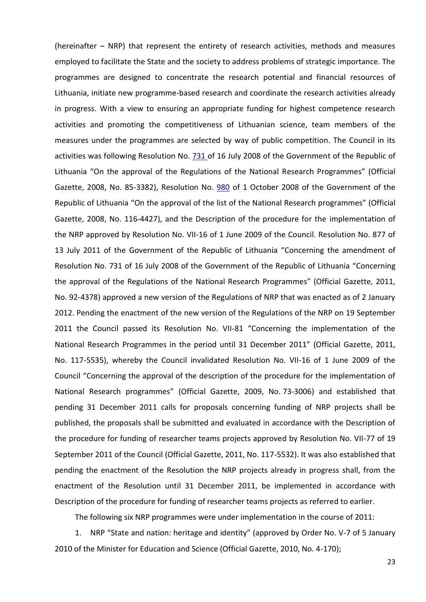(hereinafter – NRP) that represent the entirety of research activities, methods and measures employed to facilitate the State and the society to address problems of strategic importance. The programmes are designed to concentrate the research potential and financial resources of Lithuania, initiate new programme-based research and coordinate the research activities already in progress. With a view to ensuring an appropriate funding for highest competence research activities and promoting the competitiveness of Lithuanian science, team members of the measures under the programmes are selected by way of public competition. The Council in its activities was following Resolution No. [731 o](http://www3.lrs.lt/pls/inter3/dokpaieska.showdoc_bin?p_id=325078)f 16 July 2008 of the Government of the Republic of Lithuania "On the approval of the Regulations of the National Research Programmes" (Official Gazette, 2008, No. 85-3382), Resolution No. [980](http://www3.lrs.lt/pls/inter3/dokpaieska.showdoc_bin?p_id=328333) of 1 October 2008 of the Government of the Republic of Lithuania "On the approval of the list of the National Research programmes" (Official Gazette, 2008, No. 116-4427), and the Description of the procedure for the implementation of the NRP approved by Resolution No. VII-16 of 1 June 2009 of the Council. Resolution No. 877 of 13 July 2011 of the Government of the Republic of Lithuania "Concerning the amendment of Resolution No. 731 of 16 July 2008 of the Government of the Republic of Lithuania "Concerning the approval of the Regulations of the National Research Programmes" (Official Gazette, 2011, No. 92-4378) approved a new version of the Regulations of NRP that was enacted as of 2 January 2012. Pending the enactment of the new version of the Regulations of the NRP on 19 September 2011 the Council passed its Resolution No. VII-81 "Concerning the implementation of the National Research Programmes in the period until 31 December 2011" (Official Gazette, 2011, No. 117-5535), whereby the Council invalidated Resolution No. VII-16 of 1 June 2009 of the Council "Concerning the approval of the description of the procedure for the implementation of National Research programmes" (Official Gazette, 2009, No. 73-3006) and established that pending 31 December 2011 calls for proposals concerning funding of NRP projects shall be published, the proposals shall be submitted and evaluated in accordance with the Description of the procedure for funding of researcher teams projects approved by Resolution No. VII-77 of 19 September 2011 of the Council (Official Gazette, 2011, No. 117-5532). It was also established that pending the enactment of the Resolution the NRP projects already in progress shall, from the enactment of the Resolution until 31 December 2011, be implemented in accordance with Description of the procedure for funding of researcher teams projects as referred to earlier.

The following six NRP programmes were under implementation in the course of 2011:

1. NRP "State and nation: heritage and identity" (approved by Order No. V-7 of 5 January 2010 of the Minister for Education and Science (Official Gazette, 2010, No. 4-170);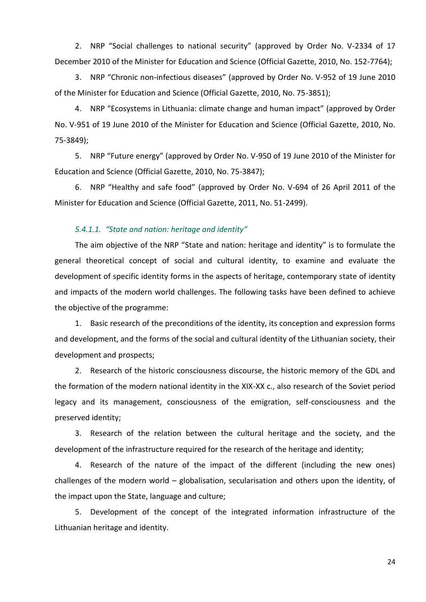2. NRP "Social challenges to national security" (approved by Order No. V-2334 of 17 December 2010 of the Minister for Education and Science (Official Gazette, 2010, No. 152-7764);

3. NRP "Chronic non-infectious diseases" (approved by Order No. V-952 of 19 June 2010 of the Minister for Education and Science (Official Gazette, 2010, No. 75-3851);

4. NRP "Ecosystems in Lithuania: climate change and human impact" (approved by Order No. V-951 of 19 June 2010 of the Minister for Education and Science (Official Gazette, 2010, No. 75-3849);

5. NRP "Future energy" (approved by Order No. V-950 of 19 June 2010 of the Minister for Education and Science (Official Gazette, 2010, No. 75-3847);

6. NRP "Healthy and safe food" (approved by Order No. V-694 of 26 April 2011 of the Minister for Education and Science (Official Gazette, 2011, No. 51-2499).

## *5.4.1.1. "State and nation: heritage and identity"*

The aim objective of the NRP "State and nation: heritage and identity" is to formulate the general theoretical concept of social and cultural identity, to examine and evaluate the development of specific identity forms in the aspects of heritage, contemporary state of identity and impacts of the modern world challenges. The following tasks have been defined to achieve the objective of the programme:

1. Basic research of the preconditions of the identity, its conception and expression forms and development, and the forms of the social and cultural identity of the Lithuanian society, their development and prospects;

2. Research of the historic consciousness discourse, the historic memory of the GDL and the formation of the modern national identity in the XIX-XX c., also research of the Soviet period legacy and its management, consciousness of the emigration, self-consciousness and the preserved identity;

3. Research of the relation between the cultural heritage and the society, and the development of the infrastructure required for the research of the heritage and identity;

4. Research of the nature of the impact of the different (including the new ones) challenges of the modern world – globalisation, secularisation and others upon the identity, of the impact upon the State, language and culture;

5. Development of the concept of the integrated information infrastructure of the Lithuanian heritage and identity.

24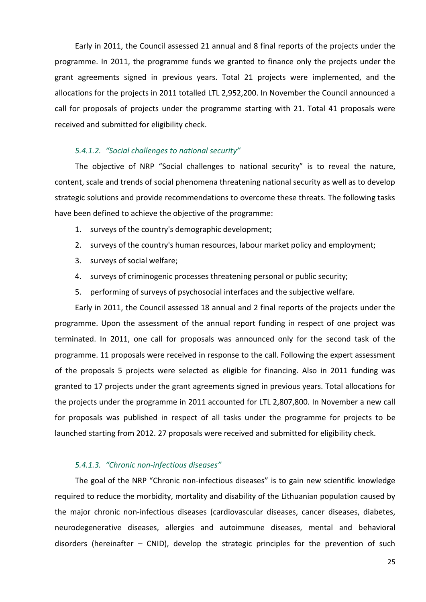Early in 2011, the Council assessed 21 annual and 8 final reports of the projects under the programme. In 2011, the programme funds we granted to finance only the projects under the grant agreements signed in previous years. Total 21 projects were implemented, and the allocations for the projects in 2011 totalled LTL 2,952,200. In November the Council announced a call for proposals of projects under the programme starting with 21. Total 41 proposals were received and submitted for eligibility check.

#### *5.4.1.2. "Social challenges to national security"*

The objective of NRP "Social challenges to national security" is to reveal the nature, content, scale and trends of social phenomena threatening national security as well as to develop strategic solutions and provide recommendations to overcome these threats. The following tasks have been defined to achieve the objective of the programme:

- 1. surveys of the country's demographic development;
- 2. surveys of the country's human resources, labour market policy and employment;
- 3. surveys of social welfare;
- 4. surveys of criminogenic processes threatening personal or public security;
- 5. performing of surveys of psychosocial interfaces and the subjective welfare.

Early in 2011, the Council assessed 18 annual and 2 final reports of the projects under the programme. Upon the assessment of the annual report funding in respect of one project was terminated. In 2011, one call for proposals was announced only for the second task of the programme. 11 proposals were received in response to the call. Following the expert assessment of the proposals 5 projects were selected as eligible for financing. Also in 2011 funding was granted to 17 projects under the grant agreements signed in previous years. Total allocations for the projects under the programme in 2011 accounted for LTL 2,807,800. In November a new call for proposals was published in respect of all tasks under the programme for projects to be launched starting from 2012. 27 proposals were received and submitted for eligibility check.

## *5.4.1.3. "Chronic non-infectious diseases"*

The goal of the NRP "Chronic non-infectious diseases" is to gain new scientific knowledge required to reduce the morbidity, mortality and disability of the Lithuanian population caused by the major chronic non-infectious diseases (cardiovascular diseases, cancer diseases, diabetes, neurodegenerative diseases, allergies and autoimmune diseases, mental and behavioral disorders (hereinafter – CNID), develop the strategic principles for the prevention of such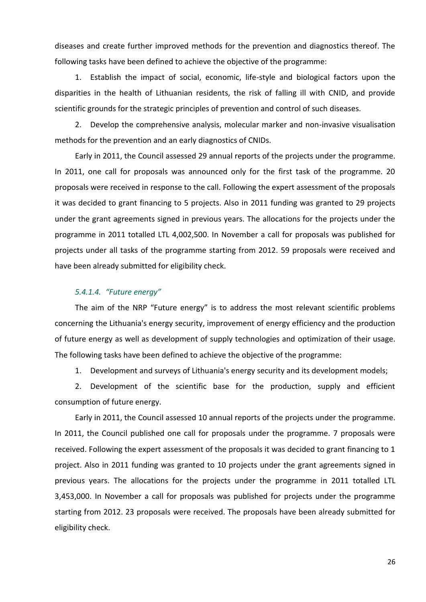diseases and create further improved methods for the prevention and diagnostics thereof. The following tasks have been defined to achieve the objective of the programme:

1. Establish the impact of social, economic, life-style and biological factors upon the disparities in the health of Lithuanian residents, the risk of falling ill with CNID, and provide scientific grounds for the strategic principles of prevention and control of such diseases.

2. Develop the comprehensive analysis, molecular marker and non-invasive visualisation methods for the prevention and an early diagnostics of CNIDs.

Early in 2011, the Council assessed 29 annual reports of the projects under the programme. In 2011, one call for proposals was announced only for the first task of the programme. 20 proposals were received in response to the call. Following the expert assessment of the proposals it was decided to grant financing to 5 projects. Also in 2011 funding was granted to 29 projects under the grant agreements signed in previous years. The allocations for the projects under the programme in 2011 totalled LTL 4,002,500. In November a call for proposals was published for projects under all tasks of the programme starting from 2012. 59 proposals were received and have been already submitted for eligibility check.

#### *5.4.1.4. "Future energy"*

The aim of the NRP "Future energy" is to address the most relevant scientific problems concerning the Lithuania's energy security, improvement of energy efficiency and the production of future energy as well as development of supply technologies and optimization of their usage. The following tasks have been defined to achieve the objective of the programme:

1. Development and surveys of Lithuania's energy security and its development models;

2. Development of the scientific base for the production, supply and efficient consumption of future energy.

Early in 2011, the Council assessed 10 annual reports of the projects under the programme. In 2011, the Council published one call for proposals under the programme. 7 proposals were received. Following the expert assessment of the proposals it was decided to grant financing to 1 project. Also in 2011 funding was granted to 10 projects under the grant agreements signed in previous years. The allocations for the projects under the programme in 2011 totalled LTL 3,453,000. In November a call for proposals was published for projects under the programme starting from 2012. 23 proposals were received. The proposals have been already submitted for eligibility check.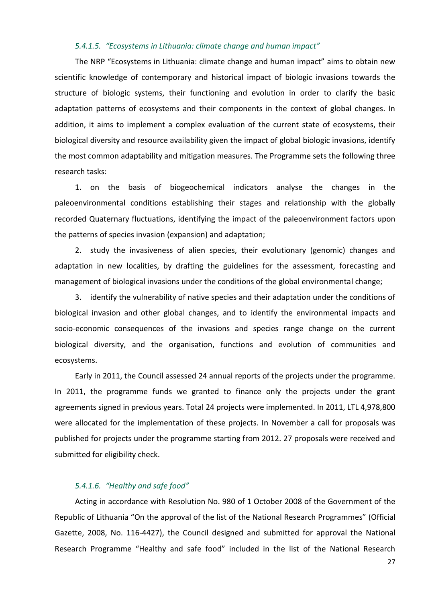## *5.4.1.5. "Ecosystems in Lithuania: climate change and human impact"*

The NRP "Ecosystems in Lithuania: climate change and human impact" aims to obtain new scientific knowledge of contemporary and historical impact of biologic invasions towards the structure of biologic systems, their functioning and evolution in order to clarify the basic adaptation patterns of ecosystems and their components in the context of global changes. In addition, it aims to implement a complex evaluation of the current state of ecosystems, their biological diversity and resource availability given the impact of global biologic invasions, identify the most common adaptability and mitigation measures. The Programme sets the following three research tasks:

1. on the basis of biogeochemical indicators analyse the changes in the paleoenvironmental conditions establishing their stages and relationship with the globally recorded Quaternary fluctuations, identifying the impact of the paleoenvironment factors upon the patterns of species invasion (expansion) and adaptation;

2. study the invasiveness of alien species, their evolutionary (genomic) changes and adaptation in new localities, by drafting the guidelines for the assessment, forecasting and management of biological invasions under the conditions of the global environmental change;

3. identify the vulnerability of native species and their adaptation under the conditions of biological invasion and other global changes, and to identify the environmental impacts and socio-economic consequences of the invasions and species range change on the current biological diversity, and the organisation, functions and evolution of communities and ecosystems.

Early in 2011, the Council assessed 24 annual reports of the projects under the programme. In 2011, the programme funds we granted to finance only the projects under the grant agreements signed in previous years. Total 24 projects were implemented. In 2011, LTL 4,978,800 were allocated for the implementation of these projects. In November a call for proposals was published for projects under the programme starting from 2012. 27 proposals were received and submitted for eligibility check.

#### *5.4.1.6. "Healthy and safe food"*

Acting in accordance with Resolution No. 980 of 1 October 2008 of the Government of the Republic of Lithuania "On the approval of the list of the National Research Programmes" (Official Gazette, 2008, No. 116-4427), the Council designed and submitted for approval the National Research Programme "Healthy and safe food" included in the list of the National Research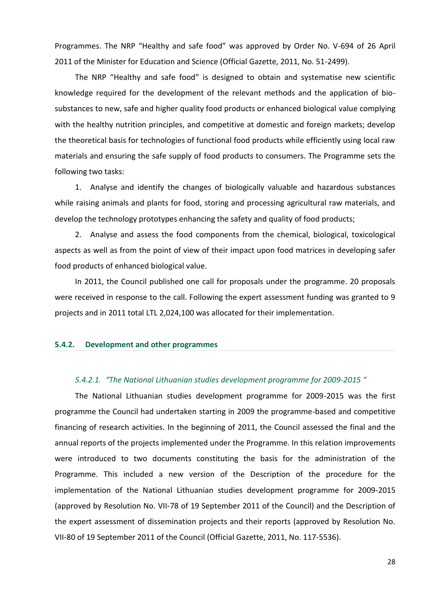Programmes. The NRP "Healthy and safe food" was approved by Order No. V-694 of 26 April 2011 of the Minister for Education and Science (Official Gazette, 2011, No. 51-2499).

The NRP "Healthy and safe food" is designed to obtain and systematise new scientific knowledge required for the development of the relevant methods and the application of biosubstances to new, safe and higher quality food products or enhanced biological value complying with the healthy nutrition principles, and competitive at domestic and foreign markets; develop the theoretical basis for technologies of functional food products while efficiently using local raw materials and ensuring the safe supply of food products to consumers. The Programme sets the following two tasks:

1. Analyse and identify the changes of biologically valuable and hazardous substances while raising animals and plants for food, storing and processing agricultural raw materials, and develop the technology prototypes enhancing the safety and quality of food products;

2. Analyse and assess the food components from the chemical, biological, toxicological aspects as well as from the point of view of their impact upon food matrices in developing safer food products of enhanced biological value.

In 2011, the Council published one call for proposals under the programme. 20 proposals were received in response to the call. Following the expert assessment funding was granted to 9 projects and in 2011 total LTL 2,024,100 was allocated for their implementation.

#### <span id="page-27-0"></span>**5.4.2. Development and other programmes**

#### *5.4.2.1. "The National Lithuanian studies development programme for 2009-2015 "*

The National Lithuanian studies development programme for 2009-2015 was the first programme the Council had undertaken starting in 2009 the programme-based and competitive financing of research activities. In the beginning of 2011, the Council assessed the final and the annual reports of the projects implemented under the Programme. In this relation improvements were introduced to two documents constituting the basis for the administration of the Programme. This included a new version of the Description of the procedure for the implementation of the National Lithuanian studies development programme for 2009-2015 (approved by Resolution No. VII-78 of 19 September 2011 of the Council) and the Description of the expert assessment of dissemination projects and their reports (approved by Resolution No. VII-80 of 19 September 2011 of the Council (Official Gazette, 2011, No. 117-5536).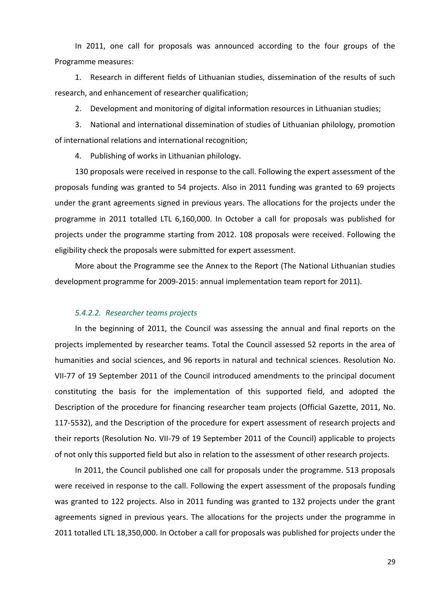In 2011, one call for proposals was announced according to the four groups of the Programme measures:

1. Research in different fields of Lithuanian studies, dissemination of the results of such research, and enhancement of researcher qualification;

2. Development and monitoring of digital information resources in Lithuanian studies;

3. National and international dissemination of studies of Lithuanian philology, promotion of international relations and international recognition;

4. Publishing of works in Lithuanian philology.

130 proposals were received in response to the call. Following the expert assessment of the proposals funding was granted to 54 projects. Also in 2011 funding was granted to 69 projects under the grant agreements signed in previous years. The allocations for the projects under the programme in 2011 totalled LTL 6,160,000. In October a call for proposals was published for projects under the programme starting from 2012. 108 proposals were received. Following the eligibility check the proposals were submitted for expert assessment.

More about the Programme see the Annex to the Report (The National Lithuanian studies development programme for 2009-2015: annual implementation team report for 2011).

#### *5.4.2.2. Researcher teams projects*

In the beginning of 2011, the Council was assessing the annual and final reports on the projects implemented by researcher teams. Total the Council assessed 52 reports in the area of humanities and social sciences, and 96 reports in natural and technical sciences. Resolution No. VII-77 of 19 September 2011 of the Council introduced amendments to the principal document constituting the basis for the implementation of this supported field, and adopted the Description of the procedure for financing researcher team projects (Official Gazette, 2011, No. 117-5532), and the Description of the procedure for expert assessment of research projects and their reports (Resolution No. VII-79 of 19 September 2011 of the Council) applicable to projects of not only this supported field but also in relation to the assessment of other research projects.

In 2011, the Council published one call for proposals under the programme. 513 proposals were received in response to the call. Following the expert assessment of the proposals funding was granted to 122 projects. Also in 2011 funding was granted to 132 projects under the grant agreements signed in previous years. The allocations for the projects under the programme in 2011 totalled LTL 18,350,000. In October a call for proposals was published for projects under the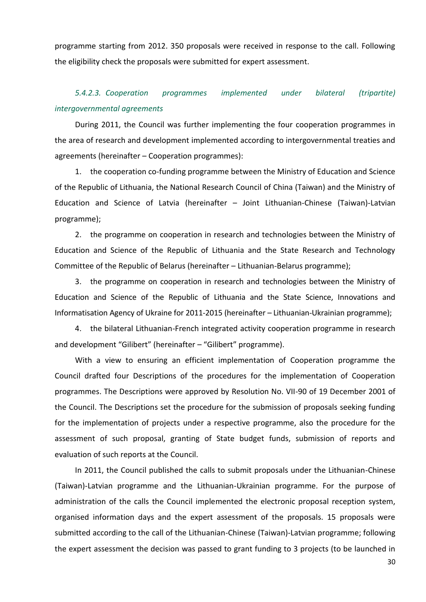programme starting from 2012. 350 proposals were received in response to the call. Following the eligibility check the proposals were submitted for expert assessment.

# *5.4.2.3. Cooperation programmes implemented under bilateral (tripartite) intergovernmental agreements*

During 2011, the Council was further implementing the four cooperation programmes in the area of research and development implemented according to intergovernmental treaties and agreements (hereinafter – Cooperation programmes):

1. the cooperation co-funding programme between the Ministry of Education and Science of the Republic of Lithuania, the National Research Council of China (Taiwan) and the Ministry of Education and Science of Latvia (hereinafter – Joint Lithuanian-Chinese (Taiwan)-Latvian programme);

2. the programme on cooperation in research and technologies between the Ministry of Education and Science of the Republic of Lithuania and the State Research and Technology Committee of the Republic of Belarus (hereinafter – Lithuanian-Belarus programme);

3. the programme on cooperation in research and technologies between the Ministry of Education and Science of the Republic of Lithuania and the State Science, Innovations and Informatisation Agency of Ukraine for 2011-2015 (hereinafter – Lithuanian-Ukrainian programme);

4. the bilateral Lithuanian-French integrated activity cooperation programme in research and development "Gilibert" (hereinafter – "Gilibert" programme).

With a view to ensuring an efficient implementation of Cooperation programme the Council drafted four Descriptions of the procedures for the implementation of Cooperation programmes. The Descriptions were approved by Resolution No. VII-90 of 19 December 2001 of the Council. The Descriptions set the procedure for the submission of proposals seeking funding for the implementation of projects under a respective programme, also the procedure for the assessment of such proposal, granting of State budget funds, submission of reports and evaluation of such reports at the Council.

In 2011, the Council published the calls to submit proposals under the Lithuanian-Chinese (Taiwan)-Latvian programme and the Lithuanian-Ukrainian programme. For the purpose of administration of the calls the Council implemented the electronic proposal reception system, organised information days and the expert assessment of the proposals. 15 proposals were submitted according to the call of the Lithuanian-Chinese (Taiwan)-Latvian programme; following the expert assessment the decision was passed to grant funding to 3 projects (to be launched in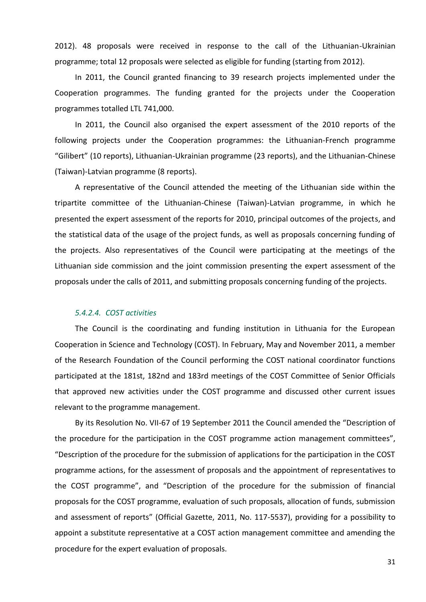2012). 48 proposals were received in response to the call of the Lithuanian-Ukrainian programme; total 12 proposals were selected as eligible for funding (starting from 2012).

In 2011, the Council granted financing to 39 research projects implemented under the Cooperation programmes. The funding granted for the projects under the Cooperation programmes totalled LTL 741,000.

In 2011, the Council also organised the expert assessment of the 2010 reports of the following projects under the Cooperation programmes: the Lithuanian-French programme "Gilibert" (10 reports), Lithuanian-Ukrainian programme (23 reports), and the Lithuanian-Chinese (Taiwan)-Latvian programme (8 reports).

A representative of the Council attended the meeting of the Lithuanian side within the tripartite committee of the Lithuanian-Chinese (Taiwan)-Latvian programme, in which he presented the expert assessment of the reports for 2010, principal outcomes of the projects, and the statistical data of the usage of the project funds, as well as proposals concerning funding of the projects. Also representatives of the Council were participating at the meetings of the Lithuanian side commission and the joint commission presenting the expert assessment of the proposals under the calls of 2011, and submitting proposals concerning funding of the projects.

#### *5.4.2.4. COST activities*

The Council is the coordinating and funding institution in Lithuania for the European Cooperation in Science and Technology (COST). In February, May and November 2011, a member of the Research Foundation of the Council performing the COST national coordinator functions participated at the 181st, 182nd and 183rd meetings of the COST Committee of Senior Officials that approved new activities under the COST programme and discussed other current issues relevant to the programme management.

By its Resolution No. VII-67 of 19 September 2011 the Council amended the "Description of the procedure for the participation in the COST programme action management committees", "Description of the procedure for the submission of applications for the participation in the COST programme actions, for the assessment of proposals and the appointment of representatives to the COST programme", and "Description of the procedure for the submission of financial proposals for the COST programme, evaluation of such proposals, allocation of funds, submission and assessment of reports" (Official Gazette, 2011, No. 117-5537), providing for a possibility to appoint a substitute representative at a COST action management committee and amending the procedure for the expert evaluation of proposals.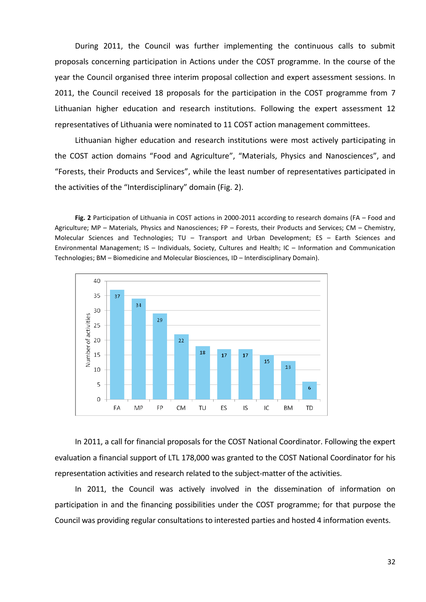During 2011, the Council was further implementing the continuous calls to submit proposals concerning participation in Actions under the COST programme. In the course of the year the Council organised three interim proposal collection and expert assessment sessions. In 2011, the Council received 18 proposals for the participation in the COST programme from 7 Lithuanian higher education and research institutions. Following the expert assessment 12 representatives of Lithuania were nominated to 11 COST action management committees.

Lithuanian higher education and research institutions were most actively participating in the COST action domains "Food and Agriculture", "Materials, Physics and Nanosciences", and "Forests, their Products and Services", while the least number of representatives participated in the activities of the "Interdisciplinary" domain (Fig. 2).

**Fig. 2** Participation of Lithuania in COST actions in 2000-2011 according to research domains (FA – Food and Agriculture; MP – Materials, Physics and Nanosciences; FP – Forests, their Products and Services; CM – Chemistry, Molecular Sciences and Technologies; TU – Transport and Urban Development; ES – Earth Sciences and Environmental Management; IS – Individuals, Society, Cultures and Health; IC – Information and Communication Technologies; BM – Biomedicine and Molecular Biosciences, ID – Interdisciplinary Domain).



In 2011, a call for financial proposals for the COST National Coordinator. Following the expert evaluation a financial support of LTL 178,000 was granted to the COST National Coordinator for his representation activities and research related to the subject-matter of the activities.

In 2011, the Council was actively involved in the dissemination of information on participation in and the financing possibilities under the COST programme; for that purpose the Council was providing regular consultations to interested parties and hosted 4 information events.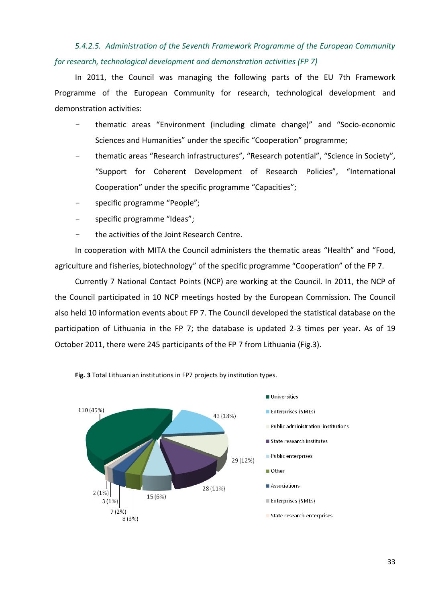# *5.4.2.5. Administration of the Seventh Framework Programme of the European Community for research, technological development and demonstration activities (FP 7)*

In 2011, the Council was managing the following parts of the EU 7th Framework Programme of the European Community for research, technological development and demonstration activities:

- thematic areas "Environment (including climate change)" and "Socio-economic Sciences and Humanities" under the specific "Cooperation" programme;
- thematic areas "Research infrastructures", "Research potential", "Science in Society", "Support for Coherent Development of Research Policies", "International Cooperation" under the specific programme "Capacities";
- specific programme "People";
- specific programme "Ideas";
- the activities of the Joint Research Centre.

In cooperation with MITA the Council administers the thematic areas "Health" and "Food, agriculture and fisheries, biotechnology" of the specific programme "Cooperation" of the FP 7.

Currently 7 National Contact Points (NCP) are working at the Council. In 2011, the NCP of the Council participated in 10 NCP meetings hosted by the European Commission. The Council also held 10 information events about FP 7. The Council developed the statistical database on the participation of Lithuania in the FP 7; the database is updated 2-3 times per year. As of 19 October 2011, there were 245 participants of the FP 7 from Lithuania (Fig.3).



**Fig. 3** Total Lithuanian institutions in FP7 projects by institution types.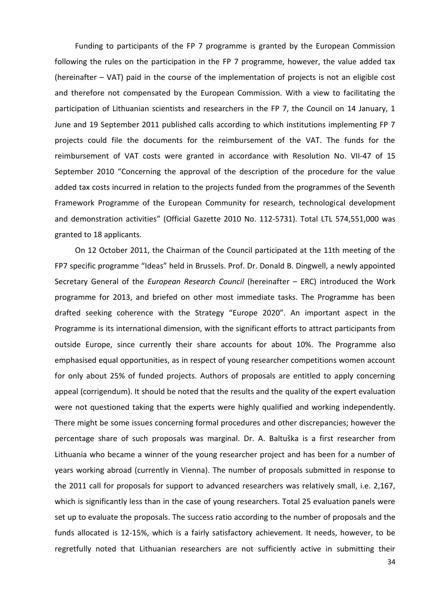Funding to participants of the FP 7 programme is granted by the European Commission following the rules on the participation in the FP 7 programme, however, the value added tax (hereinafter – VAT) paid in the course of the implementation of projects is not an eligible cost and therefore not compensated by the European Commission. With a view to facilitating the participation of Lithuanian scientists and researchers in the FP 7, the Council on 14 January, 1 June and 19 September 2011 published calls according to which institutions implementing FP 7 projects could file the documents for the reimbursement of the VAT. The funds for the reimbursement of VAT costs were granted in accordance with Resolution No. VII-47 of 15 September 2010 "Concerning the approval of the description of the procedure for the value added tax costs incurred in relation to the projects funded from the programmes of the Seventh Framework Programme of the European Community for research, technological development and demonstration activities" (Official Gazette 2010 No. 112-5731). Total LTL 574,551,000 was granted to 18 applicants.

On 12 October 2011, the Chairman of the Council participated at the 11th meeting of the FP7 specific programme "Ideas" held in Brussels. Prof. Dr. Donald B. Dingwell, a newly appointed Secretary General of the *European Research Council* (hereinafter – ERC) introduced the Work programme for 2013, and briefed on other most immediate tasks. The Programme has been drafted seeking coherence with the Strategy "Europe 2020". An important aspect in the Programme is its international dimension, with the significant efforts to attract participants from outside Europe, since currently their share accounts for about 10%. The Programme also emphasised equal opportunities, as in respect of young researcher competitions women account for only about 25% of funded projects. Authors of proposals are entitled to apply concerning appeal (corrigendum). It should be noted that the results and the quality of the expert evaluation were not questioned taking that the experts were highly qualified and working independently. There might be some issues concerning formal procedures and other discrepancies; however the percentage share of such proposals was marginal. Dr. A. Baltuška is a first researcher from Lithuania who became a winner of the young researcher project and has been for a number of years working abroad (currently in Vienna). The number of proposals submitted in response to the 2011 call for proposals for support to advanced researchers was relatively small, i.e. 2,167, which is significantly less than in the case of young researchers. Total 25 evaluation panels were set up to evaluate the proposals. The success ratio according to the number of proposals and the funds allocated is 12-15%, which is a fairly satisfactory achievement. It needs, however, to be regretfully noted that Lithuanian researchers are not sufficiently active in submitting their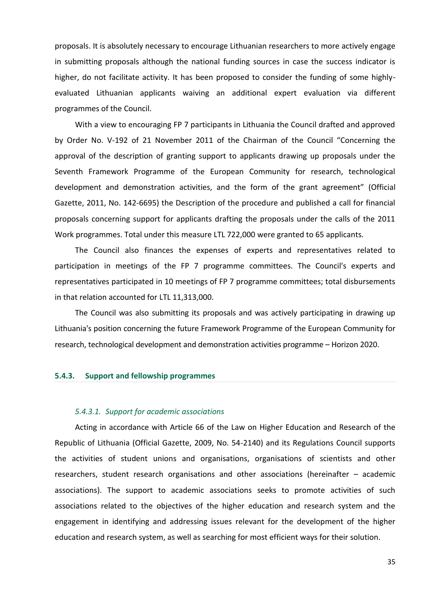proposals. It is absolutely necessary to encourage Lithuanian researchers to more actively engage in submitting proposals although the national funding sources in case the success indicator is higher, do not facilitate activity. It has been proposed to consider the funding of some highlyevaluated Lithuanian applicants waiving an additional expert evaluation via different programmes of the Council.

With a view to encouraging FP 7 participants in Lithuania the Council drafted and approved by Order No. V-192 of 21 November 2011 of the Chairman of the Council "Concerning the approval of the description of granting support to applicants drawing up proposals under the Seventh Framework Programme of the European Community for research, technological development and demonstration activities, and the form of the grant agreement" (Official Gazette, 2011, No. 142-6695) the Description of the procedure and published a call for financial proposals concerning support for applicants drafting the proposals under the calls of the 2011 Work programmes. Total under this measure LTL 722,000 were granted to 65 applicants.

The Council also finances the expenses of experts and representatives related to participation in meetings of the FP 7 programme committees. The Council's experts and representatives participated in 10 meetings of FP 7 programme committees; total disbursements in that relation accounted for LTL 11,313,000.

The Council was also submitting its proposals and was actively participating in drawing up Lithuania's position concerning the future Framework Programme of the European Community for research, technological development and demonstration activities programme – Horizon 2020.

#### <span id="page-34-0"></span>**5.4.3. Support and fellowship programmes**

#### *5.4.3.1. Support for academic associations*

Acting in accordance with Article 66 of the Law on Higher Education and Research of the Republic of Lithuania (Official Gazette, 2009, No. 54-2140) and its Regulations Council supports the activities of student unions and organisations, organisations of scientists and other researchers, student research organisations and other associations (hereinafter – academic associations). The support to academic associations seeks to promote activities of such associations related to the objectives of the higher education and research system and the engagement in identifying and addressing issues relevant for the development of the higher education and research system, as well as searching for most efficient ways for their solution.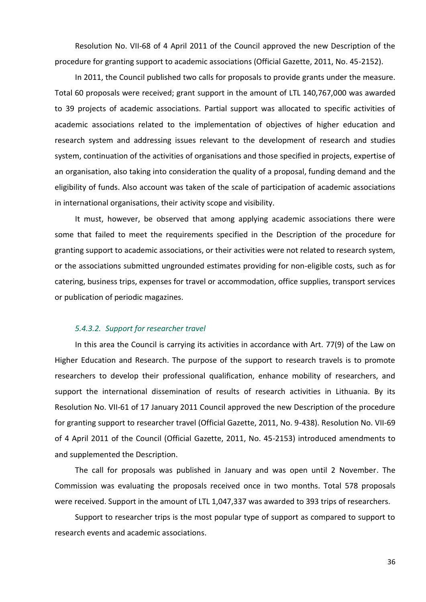Resolution No. VII-68 of 4 April 2011 of the Council approved the new Description of the procedure for granting support to academic associations (Official Gazette, 2011, No. 45-2152).

In 2011, the Council published two calls for proposals to provide grants under the measure. Total 60 proposals were received; grant support in the amount of LTL 140,767,000 was awarded to 39 projects of academic associations. Partial support was allocated to specific activities of academic associations related to the implementation of objectives of higher education and research system and addressing issues relevant to the development of research and studies system, continuation of the activities of organisations and those specified in projects, expertise of an organisation, also taking into consideration the quality of a proposal, funding demand and the eligibility of funds. Also account was taken of the scale of participation of academic associations in international organisations, their activity scope and visibility.

It must, however, be observed that among applying academic associations there were some that failed to meet the requirements specified in the Description of the procedure for granting support to academic associations, or their activities were not related to research system, or the associations submitted ungrounded estimates providing for non-eligible costs, such as for catering, business trips, expenses for travel or accommodation, office supplies, transport services or publication of periodic magazines.

#### *5.4.3.2. Support for researcher travel*

In this area the Council is carrying its activities in accordance with Art. 77(9) of the Law on Higher Education and Research. The purpose of the support to research travels is to promote researchers to develop their professional qualification, enhance mobility of researchers, and support the international dissemination of results of research activities in Lithuania. By its Resolution No. VII-61 of 17 January 2011 Council approved the new Description of the procedure for granting support to researcher travel (Official Gazette, 2011, No. 9-438). Resolution No. VII-69 of 4 April 2011 of the Council (Official Gazette, 2011, No. 45-2153) introduced amendments to and supplemented the Description.

The call for proposals was published in January and was open until 2 November. The Commission was evaluating the proposals received once in two months. Total 578 proposals were received. Support in the amount of LTL 1,047,337 was awarded to 393 trips of researchers.

Support to researcher trips is the most popular type of support as compared to support to research events and academic associations.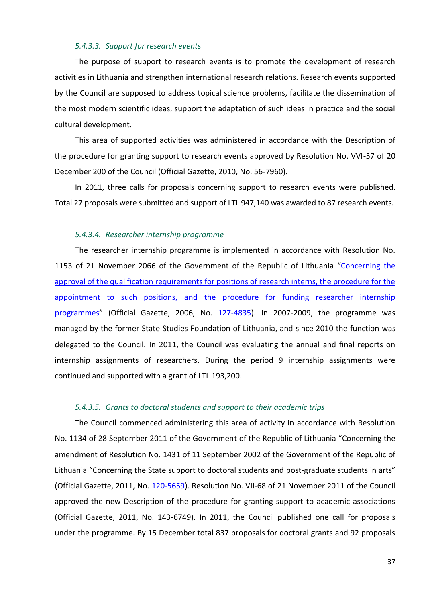#### *5.4.3.3. Support for research events*

The purpose of support to research events is to promote the development of research activities in Lithuania and strengthen international research relations. Research events supported by the Council are supposed to address topical science problems, facilitate the dissemination of the most modern scientific ideas, support the adaptation of such ideas in practice and the social cultural development.

This area of supported activities was administered in accordance with the Description of the procedure for granting support to research events approved by Resolution No. VVI-57 of 20 December 200 of the Council (Official Gazette, 2010, No. 56-7960).

In 2011, three calls for proposals concerning support to research events were published. Total 27 proposals were submitted and support of LTL 947,140 was awarded to 87 research events.

#### *5.4.3.4. Researcher internship programme*

The researcher internship programme is implemented in accordance with Resolution No. 1153 of 21 November 2066 of the Government of the Republic of Lithuania "Concerning the [approval of the qualification requirements for positions of research interns, the procedure for the](http://litlex/Litlex/LL.DLL?Tekstas=1?Id=99146&Zd=&BF=1)  [appointment to such positions, and the procedure for funding researcher internship](http://litlex/Litlex/LL.DLL?Tekstas=1?Id=99146&Zd=&BF=1)  [programmes](http://litlex/Litlex/LL.DLL?Tekstas=1?Id=99146&Zd=&BF=1)" (Official Gazette, 2006, No. [127-4835\)](http://www3.lrs.lt/cgi-bin/preps2?a=287212&b=). In 2007-2009, the programme was managed by the former State Studies Foundation of Lithuania, and since 2010 the function was delegated to the Council. In 2011, the Council was evaluating the annual and final reports on internship assignments of researchers. During the period 9 internship assignments were continued and supported with a grant of LTL 193,200.

#### *5.4.3.5. Grants to doctoral students and support to their academic trips*

The Council commenced administering this area of activity in accordance with Resolution No. 1134 of 28 September 2011 of the Government of the Republic of Lithuania "Concerning the amendment of Resolution No. 1431 of 11 September 2002 of the Government of the Republic of Lithuania "Concerning the State support to doctoral students and post-graduate students in arts" (Official Gazette, 2011, No. [120-5659\)](http://www3.lrs.lt/pls/inter/dokpaieska.showdoc_l?p_id=407710). Resolution No. VII-68 of 21 November 2011 of the Council approved the new Description of the procedure for granting support to academic associations (Official Gazette, 2011, No. 143-6749). In 2011, the Council published one call for proposals under the programme. By 15 December total 837 proposals for doctoral grants and 92 proposals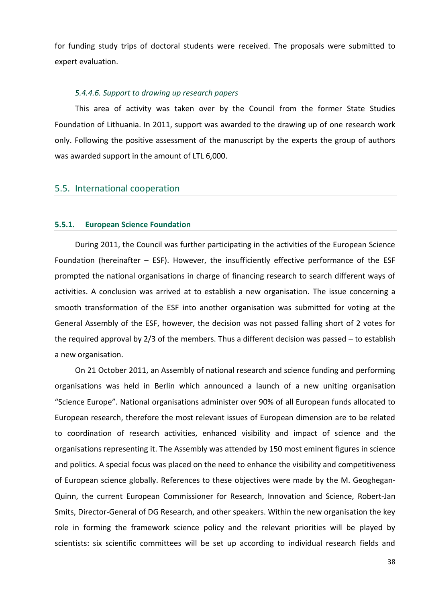for funding study trips of doctoral students were received. The proposals were submitted to expert evaluation.

#### *5.4.4.6. Support to drawing up research papers*

This area of activity was taken over by the Council from the former State Studies Foundation of Lithuania. In 2011, support was awarded to the drawing up of one research work only. Following the positive assessment of the manuscript by the experts the group of authors was awarded support in the amount of LTL 6,000.

## <span id="page-37-0"></span>5.5. International cooperation

#### <span id="page-37-1"></span>**5.5.1. European Science Foundation**

During 2011, the Council was further participating in the activities of the European Science Foundation (hereinafter – ESF). However, the insufficiently effective performance of the ESF prompted the national organisations in charge of financing research to search different ways of activities. A conclusion was arrived at to establish a new organisation. The issue concerning a smooth transformation of the ESF into another organisation was submitted for voting at the General Assembly of the ESF, however, the decision was not passed falling short of 2 votes for the required approval by 2/3 of the members. Thus a different decision was passed – to establish a new organisation.

On 21 October 2011, an Assembly of national research and science funding and performing organisations was held in Berlin which announced a launch of a new uniting organisation "Science Europe". National organisations administer over 90% of all European funds allocated to European research, therefore the most relevant issues of European dimension are to be related to coordination of research activities, enhanced visibility and impact of science and the organisations representing it. The Assembly was attended by 150 most eminent figures in science and politics. A special focus was placed on the need to enhance the visibility and competitiveness of European science globally. References to these objectives were made by the M. Geoghegan-Quinn, the current European Commissioner for Research, Innovation and Science, Robert-Jan Smits, Director-General of DG Research, and other speakers. Within the new organisation the key role in forming the framework science policy and the relevant priorities will be played by scientists: six scientific committees will be set up according to individual research fields and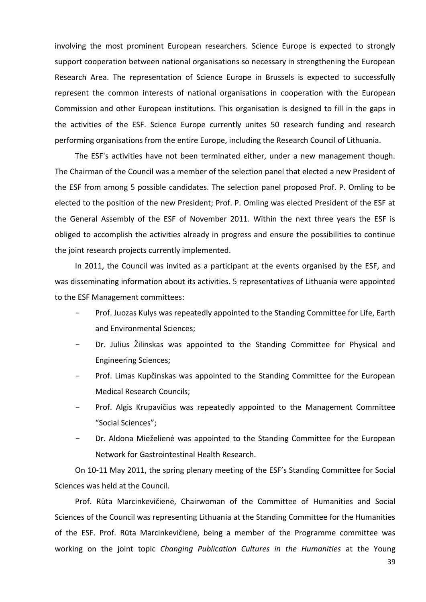involving the most prominent European researchers. Science Europe is expected to strongly support cooperation between national organisations so necessary in strengthening the European Research Area. The representation of Science Europe in Brussels is expected to successfully represent the common interests of national organisations in cooperation with the European Commission and other European institutions. This organisation is designed to fill in the gaps in the activities of the ESF. Science Europe currently unites 50 research funding and research performing organisations from the entire Europe, including the Research Council of Lithuania.

The ESF's activities have not been terminated either, under a new management though. The Chairman of the Council was a member of the selection panel that elected a new President of the ESF from among 5 possible candidates. The selection panel proposed Prof. P. Omling to be elected to the position of the new President; Prof. P. Omling was elected President of the ESF at the General Assembly of the ESF of November 2011. Within the next three years the ESF is obliged to accomplish the activities already in progress and ensure the possibilities to continue the joint research projects currently implemented.

In 2011, the Council was invited as a participant at the events organised by the ESF, and was disseminating information about its activities. 5 representatives of Lithuania were appointed to the ESF Management committees:

- Prof. Juozas Kulys was repeatedly appointed to the Standing Committee for Life, Earth and Environmental Sciences;
- Dr. Julius Žilinskas was appointed to the Standing Committee for Physical and Engineering Sciences;
- Prof. Limas Kupčinskas was appointed to the Standing Committee for the European Medical Research Councils;
- Prof. Algis Krupavičius was repeatedly appointed to the Management Committee "Social Sciences";
- Dr. Aldona Mieželienė was appointed to the Standing Committee for the European Network for Gastrointestinal Health Research.

On 10-11 May 2011, the spring plenary meeting of the ESF's Standing Committee for Social Sciences was held at the Council.

Prof. Rūta Marcinkevičienė, Chairwoman of the Committee of Humanities and Social Sciences of the Council was representing Lithuania at the Standing Committee for the Humanities of the ESF. Prof. Rūta Marcinkevičienė, being a member of the Programme committee was working on the joint topic *Changing Publication Cultures in the Humanities* at the Young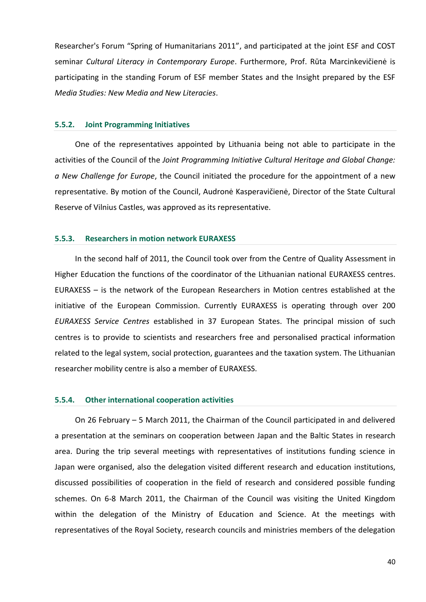Researcher's Forum "Spring of Humanitarians 2011", and participated at the joint ESF and COST seminar *Cultural Literacy in Contemporary Europe*. Furthermore, Prof. Rūta Marcinkevičienė is participating in the standing Forum of ESF member States and the Insight prepared by the ESF *Media Studies: New Media and New Literacies*.

#### <span id="page-39-0"></span>**5.5.2. Joint Programming Initiatives**

One of the representatives appointed by Lithuania being not able to participate in the activities of the Council of the *Joint Programming Initiative Cultural Heritage and Global Change: a New Challenge for Europe*, the Council initiated the procedure for the appointment of a new representative. By motion of the Council, Audronė Kasperavičienė, Director of the State Cultural Reserve of Vilnius Castles, was approved as its representative.

#### <span id="page-39-1"></span>**5.5.3. Researchers in motion network EURAXESS**

In the second half of 2011, the Council took over from the Centre of Quality Assessment in Higher Education the functions of the coordinator of the Lithuanian national EURAXESS centres. EURAXESS – is the network of the European Researchers in Motion centres established at the initiative of the European Commission. Currently EURAXESS is operating through over 200 *EURAXESS Service Centres* established in 37 European States. The principal mission of such centres is to provide to scientists and researchers free and personalised practical information related to the legal system, social protection, guarantees and the taxation system. The Lithuanian researcher mobility centre is also a member of EURAXESS.

#### <span id="page-39-2"></span>**5.5.4. Other international cooperation activities**

On 26 February – 5 March 2011, the Chairman of the Council participated in and delivered a presentation at the seminars on cooperation between Japan and the Baltic States in research area. During the trip several meetings with representatives of institutions funding science in Japan were organised, also the delegation visited different research and education institutions, discussed possibilities of cooperation in the field of research and considered possible funding schemes. On 6-8 March 2011, the Chairman of the Council was visiting the United Kingdom within the delegation of the Ministry of Education and Science. At the meetings with representatives of the Royal Society, research councils and ministries members of the delegation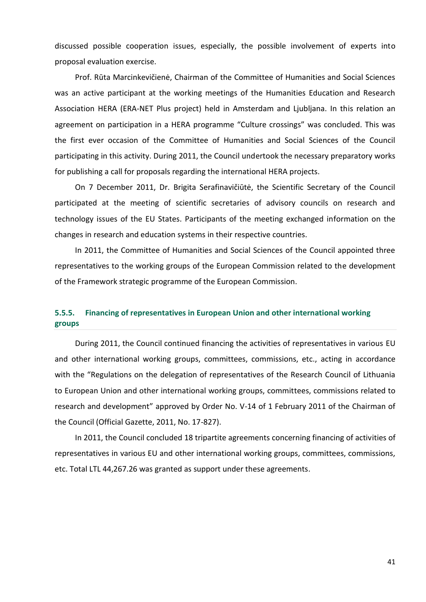discussed possible cooperation issues, especially, the possible involvement of experts into proposal evaluation exercise.

Prof. Rūta Marcinkevičienė, Chairman of the Committee of Humanities and Social Sciences was an active participant at the working meetings of the Humanities Education and Research Association HERA (ERA-NET Plus project) held in Amsterdam and Ljubljana. In this relation an agreement on participation in a HERA programme "Culture crossings" was concluded. This was the first ever occasion of the Committee of Humanities and Social Sciences of the Council participating in this activity. During 2011, the Council undertook the necessary preparatory works for publishing a call for proposals regarding the international HERA projects.

On 7 December 2011, Dr. Brigita Serafinavičiūtė, the Scientific Secretary of the Council participated at the meeting of scientific secretaries of advisory councils on research and technology issues of the EU States. Participants of the meeting exchanged information on the changes in research and education systems in their respective countries.

In 2011, the Committee of Humanities and Social Sciences of the Council appointed three representatives to the working groups of the European Commission related to the development of the Framework strategic programme of the European Commission.

## <span id="page-40-0"></span>**5.5.5. Financing of representatives in European Union and other international working groups**

During 2011, the Council continued financing the activities of representatives in various EU and other international working groups, committees, commissions, etc., acting in accordance with the "Regulations on the delegation of representatives of the Research Council of Lithuania to European Union and other international working groups, committees, commissions related to research and development" approved by Order No. V-14 of 1 February 2011 of the Chairman of the Council (Official Gazette, 2011, No. 17-827).

In 2011, the Council concluded 18 tripartite agreements concerning financing of activities of representatives in various EU and other international working groups, committees, commissions, etc. Total LTL 44,267.26 was granted as support under these agreements.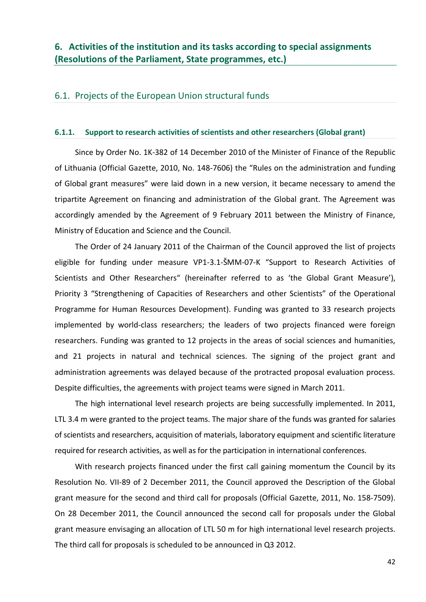## <span id="page-41-1"></span><span id="page-41-0"></span>6.1. Projects of the European Union structural funds

#### <span id="page-41-2"></span>**6.1.1. Support to research activities of scientists and other researchers (Global grant)**

Since by Order No. 1K-382 of 14 December 2010 of the Minister of Finance of the Republic of Lithuania (Official Gazette, 2010, No. 148-7606) the "Rules on the administration and funding of Global grant measures" were laid down in a new version, it became necessary to amend the tripartite Agreement on financing and administration of the Global grant. The Agreement was accordingly amended by the Agreement of 9 February 2011 between the Ministry of Finance, Ministry of Education and Science and the Council.

The Order of 24 January 2011 of the Chairman of the Council approved the list of projects eligible for funding under measure VP1-3.1-ŠMM-07-K "Support to Research Activities of Scientists and Other Researchers" (hereinafter referred to as 'the Global Grant Measure'), Priority 3 "Strengthening of Capacities of Researchers and other Scientists" of the Operational Programme for Human Resources Development). Funding was granted to 33 research projects implemented by world-class researchers; the leaders of two projects financed were foreign researchers. Funding was granted to 12 projects in the areas of social sciences and humanities, and 21 projects in natural and technical sciences. The signing of the project grant and administration agreements was delayed because of the protracted proposal evaluation process. Despite difficulties, the agreements with project teams were signed in March 2011.

The high international level research projects are being successfully implemented. In 2011, LTL 3.4 m were granted to the project teams. The major share of the funds was granted for salaries of scientists and researchers, acquisition of materials, laboratory equipment and scientific literature required for research activities, as well as for the participation in international conferences.

With research projects financed under the first call gaining momentum the Council by its Resolution No. VII-89 of 2 December 2011, the Council approved the Description of the Global grant measure for the second and third call for proposals (Official Gazette, 2011, No. 158-7509). On 28 December 2011, the Council announced the second call for proposals under the Global grant measure envisaging an allocation of LTL 50 m for high international level research projects. The third call for proposals is scheduled to be announced in Q3 2012.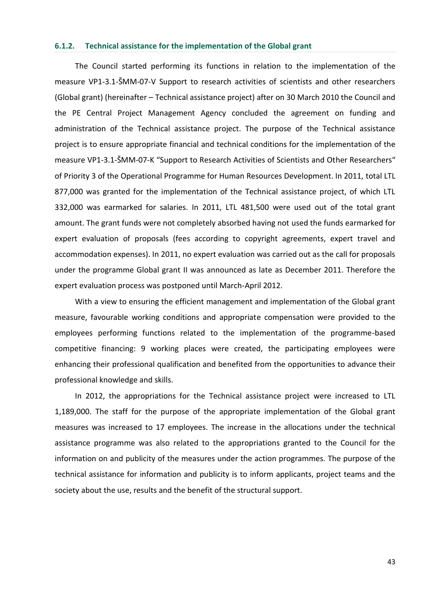#### <span id="page-42-0"></span>**6.1.2. Technical assistance for the implementation of the Global grant**

The Council started performing its functions in relation to the implementation of the measure VP1-3.1-ŠMM-07-V Support to research activities of scientists and other researchers (Global grant) (hereinafter – Technical assistance project) after on 30 March 2010 the Council and the PE Central Project Management Agency concluded the agreement on funding and administration of the Technical assistance project. The purpose of the Technical assistance project is to ensure appropriate financial and technical conditions for the implementation of the measure VP1-3.1-ŠMM-07-K "Support to Research Activities of Scientists and Other Researchers" of Priority 3 of the Operational Programme for Human Resources Development. In 2011, total LTL 877,000 was granted for the implementation of the Technical assistance project, of which LTL 332,000 was earmarked for salaries. In 2011, LTL 481,500 were used out of the total grant amount. The grant funds were not completely absorbed having not used the funds earmarked for expert evaluation of proposals (fees according to copyright agreements, expert travel and accommodation expenses). In 2011, no expert evaluation was carried out as the call for proposals under the programme Global grant II was announced as late as December 2011. Therefore the expert evaluation process was postponed until March-April 2012.

With a view to ensuring the efficient management and implementation of the Global grant measure, favourable working conditions and appropriate compensation were provided to the employees performing functions related to the implementation of the programme-based competitive financing: 9 working places were created, the participating employees were enhancing their professional qualification and benefited from the opportunities to advance their professional knowledge and skills.

In 2012, the appropriations for the Technical assistance project were increased to LTL 1,189,000. The staff for the purpose of the appropriate implementation of the Global grant measures was increased to 17 employees. The increase in the allocations under the technical assistance programme was also related to the appropriations granted to the Council for the information on and publicity of the measures under the action programmes. The purpose of the technical assistance for information and publicity is to inform applicants, project teams and the society about the use, results and the benefit of the structural support.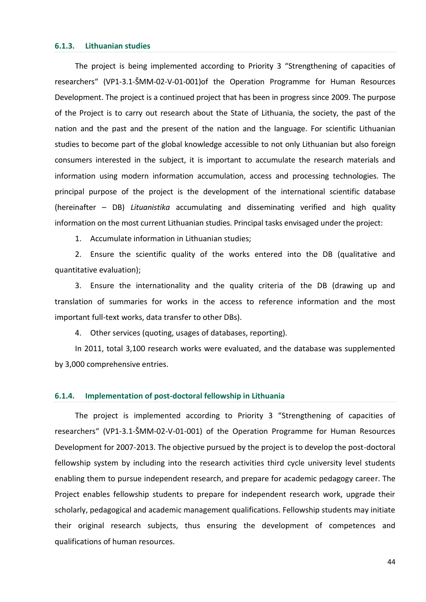#### <span id="page-43-0"></span>**6.1.3. Lithuanian studies**

The project is being implemented according to Priority 3 "Strengthening of capacities of researchers" (VP1-3.1-ŠMM-02-V-01-001)of the Operation Programme for Human Resources Development. The project is a continued project that has been in progress since 2009. The purpose of the Project is to carry out research about the State of Lithuania, the society, the past of the nation and the past and the present of the nation and the language. For scientific Lithuanian studies to become part of the global knowledge accessible to not only Lithuanian but also foreign consumers interested in the subject, it is important to accumulate the research materials and information using modern information accumulation, access and processing technologies. The principal purpose of the project is the development of the international scientific database (hereinafter – DB) *Lituanistika* accumulating and disseminating verified and high quality information on the most current Lithuanian studies. Principal tasks envisaged under the project:

1. Accumulate information in Lithuanian studies;

2. Ensure the scientific quality of the works entered into the DB (qualitative and quantitative evaluation);

3. Ensure the internationality and the quality criteria of the DB (drawing up and translation of summaries for works in the access to reference information and the most important full-text works, data transfer to other DBs).

4. Other services (quoting, usages of databases, reporting).

In 2011, total 3,100 research works were evaluated, and the database was supplemented by 3,000 comprehensive entries.

#### <span id="page-43-1"></span>**6.1.4. Implementation of post-doctoral fellowship in Lithuania**

The project is implemented according to Priority 3 "Strengthening of capacities of researchers" (VP1-3.1-ŠMM-02-V-01-001) of the Operation Programme for Human Resources Development for 2007-2013. The objective pursued by the project is to develop the post-doctoral fellowship system by including into the research activities third cycle university level students enabling them to pursue independent research, and prepare for academic pedagogy career. The Project enables fellowship students to prepare for independent research work, upgrade their scholarly, pedagogical and academic management qualifications. Fellowship students may initiate their original research subjects, thus ensuring the development of competences and qualifications of human resources.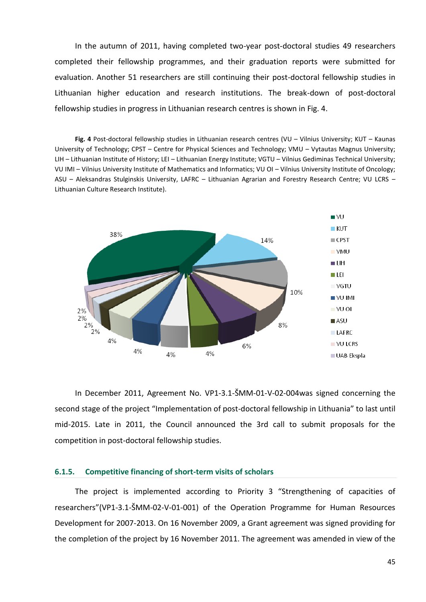In the autumn of 2011, having completed two-year post-doctoral studies 49 researchers completed their fellowship programmes, and their graduation reports were submitted for evaluation. Another 51 researchers are still continuing their post-doctoral fellowship studies in Lithuanian higher education and research institutions. The break-down of post-doctoral fellowship studies in progress in Lithuanian research centres is shown in Fig. 4.

**Fig. 4** Post-doctoral fellowship studies in Lithuanian research centres (VU – Vilnius University; KUT – Kaunas University of Technology; CPST – Centre for Physical Sciences and Technology; VMU – Vytautas Magnus University; LIH – Lithuanian Institute of History; LEI – Lithuanian Energy Institute; VGTU – Vilnius Gediminas Technical University; VU IMI – Vilnius University Institute of Mathematics and Informatics; VU OI – Vilnius University Institute of Oncology; ASU – Aleksandras Stulginskis University, LAFRC – Lithuanian Agrarian and Forestry Research Centre; VU LCRS – Lithuanian Culture Research Institute).



In December 2011, Agreement No. VP1-3.1-ŠMM-01-V-02-004was signed concerning the second stage of the project "Implementation of post-doctoral fellowship in Lithuania" to last until mid-2015. Late in 2011, the Council announced the 3rd call to submit proposals for the competition in post-doctoral fellowship studies.

#### <span id="page-44-0"></span>**6.1.5. Competitive financing of short-term visits of scholars**

The project is implemented according to Priority 3 "Strengthening of capacities of researchers"(VP1-3.1-ŠMM-02-V-01-001) of the Operation Programme for Human Resources Development for 2007-2013. On 16 November 2009, a Grant agreement was signed providing for the completion of the project by 16 November 2011. The agreement was amended in view of the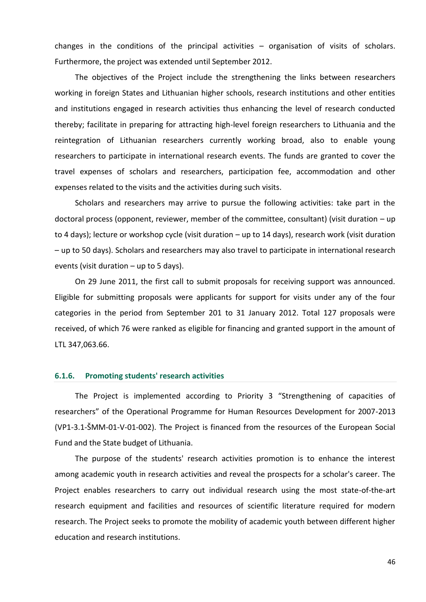changes in the conditions of the principal activities – organisation of visits of scholars. Furthermore, the project was extended until September 2012.

The objectives of the Project include the strengthening the links between researchers working in foreign States and Lithuanian higher schools, research institutions and other entities and institutions engaged in research activities thus enhancing the level of research conducted thereby; facilitate in preparing for attracting high-level foreign researchers to Lithuania and the reintegration of Lithuanian researchers currently working broad, also to enable young researchers to participate in international research events. The funds are granted to cover the travel expenses of scholars and researchers, participation fee, accommodation and other expenses related to the visits and the activities during such visits.

Scholars and researchers may arrive to pursue the following activities: take part in the doctoral process (opponent, reviewer, member of the committee, consultant) (visit duration – up to 4 days); lecture or workshop cycle (visit duration – up to 14 days), research work (visit duration – up to 50 days). Scholars and researchers may also travel to participate in international research events (visit duration – up to 5 days).

On 29 June 2011, the first call to submit proposals for receiving support was announced. Eligible for submitting proposals were applicants for support for visits under any of the four categories in the period from September 201 to 31 January 2012. Total 127 proposals were received, of which 76 were ranked as eligible for financing and granted support in the amount of LTL 347,063.66.

#### <span id="page-45-0"></span>**6.1.6. Promoting students' research activities**

The Project is implemented according to Priority 3 "Strengthening of capacities of researchers" of the Operational Programme for Human Resources Development for 2007-2013 (VP1-3.1-ŠMM-01-V-01-002). The Project is financed from the resources of the European Social Fund and the State budget of Lithuania.

The purpose of the students' research activities promotion is to enhance the interest among academic youth in research activities and reveal the prospects for a scholar's career. The Project enables researchers to carry out individual research using the most state-of-the-art research equipment and facilities and resources of scientific literature required for modern research. The Project seeks to promote the mobility of academic youth between different higher education and research institutions.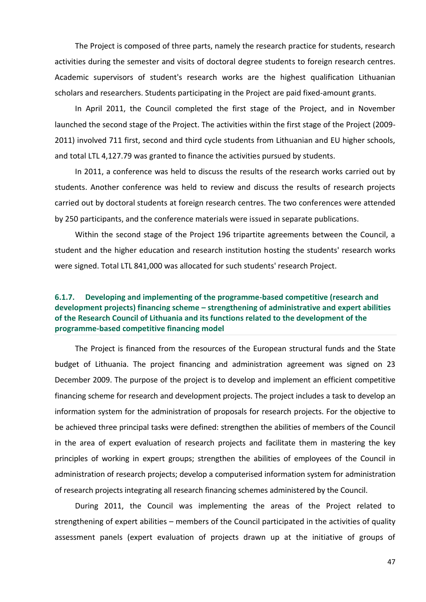The Project is composed of three parts, namely the research practice for students, research activities during the semester and visits of doctoral degree students to foreign research centres. Academic supervisors of student's research works are the highest qualification Lithuanian scholars and researchers. Students participating in the Project are paid fixed-amount grants.

In April 2011, the Council completed the first stage of the Project, and in November launched the second stage of the Project. The activities within the first stage of the Project (2009- 2011) involved 711 first, second and third cycle students from Lithuanian and EU higher schools, and total LTL 4,127.79 was granted to finance the activities pursued by students.

In 2011, a conference was held to discuss the results of the research works carried out by students. Another conference was held to review and discuss the results of research projects carried out by doctoral students at foreign research centres. The two conferences were attended by 250 participants, and the conference materials were issued in separate publications.

Within the second stage of the Project 196 tripartite agreements between the Council, a student and the higher education and research institution hosting the students' research works were signed. Total LTL 841,000 was allocated for such students' research Project.

## <span id="page-46-0"></span>**6.1.7. Developing and implementing of the programme-based competitive (research and development projects) financing scheme – strengthening of administrative and expert abilities of the Research Council of Lithuania and its functions related to the development of the programme-based competitive financing model**

The Project is financed from the resources of the European structural funds and the State budget of Lithuania. The project financing and administration agreement was signed on 23 December 2009. The purpose of the project is to develop and implement an efficient competitive financing scheme for research and development projects. The project includes a task to develop an information system for the administration of proposals for research projects. For the objective to be achieved three principal tasks were defined: strengthen the abilities of members of the Council in the area of expert evaluation of research projects and facilitate them in mastering the key principles of working in expert groups; strengthen the abilities of employees of the Council in administration of research projects; develop a computerised information system for administration of research projects integrating all research financing schemes administered by the Council.

During 2011, the Council was implementing the areas of the Project related to strengthening of expert abilities – members of the Council participated in the activities of quality assessment panels (expert evaluation of projects drawn up at the initiative of groups of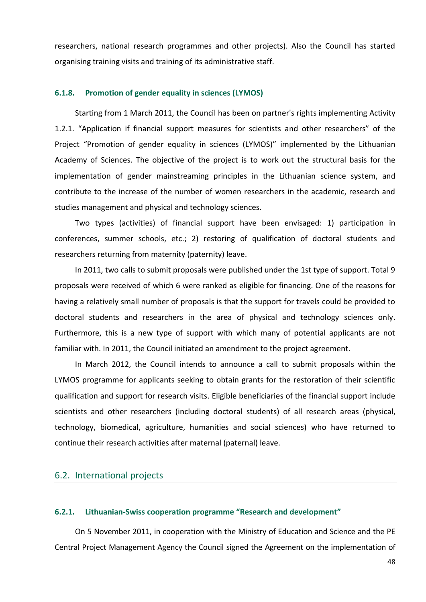researchers, national research programmes and other projects). Also the Council has started organising training visits and training of its administrative staff.

#### <span id="page-47-0"></span>**6.1.8. Promotion of gender equality in sciences (LYMOS)**

Starting from 1 March 2011, the Council has been on partner's rights implementing Activity 1.2.1. "Application if financial support measures for scientists and other researchers" of the Project "Promotion of gender equality in sciences (LYMOS)" implemented by the Lithuanian Academy of Sciences. The objective of the project is to work out the structural basis for the implementation of gender mainstreaming principles in the Lithuanian science system, and contribute to the increase of the number of women researchers in the academic, research and studies management and physical and technology sciences.

Two types (activities) of financial support have been envisaged: 1) participation in conferences, summer schools, etc.; 2) restoring of qualification of doctoral students and researchers returning from maternity (paternity) leave.

In 2011, two calls to submit proposals were published under the 1st type of support. Total 9 proposals were received of which 6 were ranked as eligible for financing. One of the reasons for having a relatively small number of proposals is that the support for travels could be provided to doctoral students and researchers in the area of physical and technology sciences only. Furthermore, this is a new type of support with which many of potential applicants are not familiar with. In 2011, the Council initiated an amendment to the project agreement.

In March 2012, the Council intends to announce a call to submit proposals within the LYMOS programme for applicants seeking to obtain grants for the restoration of their scientific qualification and support for research visits. Eligible beneficiaries of the financial support include scientists and other researchers (including doctoral students) of all research areas (physical, technology, biomedical, agriculture, humanities and social sciences) who have returned to continue their research activities after maternal (paternal) leave.

## <span id="page-47-1"></span>6.2. International projects

#### <span id="page-47-2"></span>**6.2.1. Lithuanian-Swiss cooperation programme "Research and development"**

On 5 November 2011, in cooperation with the Ministry of Education and Science and the PE Central Project Management Agency the Council signed the Agreement on the implementation of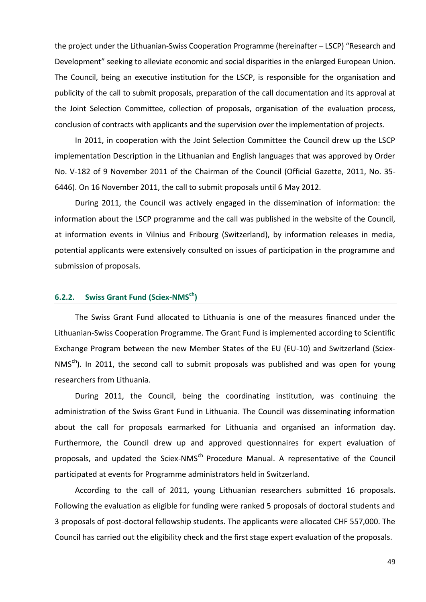the project under the Lithuanian-Swiss Cooperation Programme (hereinafter – LSCP) "Research and Development" seeking to alleviate economic and social disparities in the enlarged European Union. The Council, being an executive institution for the LSCP, is responsible for the organisation and publicity of the call to submit proposals, preparation of the call documentation and its approval at the Joint Selection Committee, collection of proposals, organisation of the evaluation process, conclusion of contracts with applicants and the supervision over the implementation of projects.

In 2011, in cooperation with the Joint Selection Committee the Council drew up the LSCP implementation Description in the Lithuanian and English languages that was approved by Order No. V-182 of 9 November 2011 of the Chairman of the Council (Official Gazette, 2011, No. 35- 6446). On 16 November 2011, the call to submit proposals until 6 May 2012.

During 2011, the Council was actively engaged in the dissemination of information: the information about the LSCP programme and the call was published in the website of the Council, at information events in Vilnius and Fribourg (Switzerland), by information releases in media, potential applicants were extensively consulted on issues of participation in the programme and submission of proposals.

## <span id="page-48-0"></span>**6.2.2. Swiss Grant Fund (Sciex-NMSch)**

The Swiss Grant Fund allocated to Lithuania is one of the measures financed under the Lithuanian-Swiss Cooperation Programme. The Grant Fund is implemented according to Scientific Exchange Program between the new Member States of the EU (EU-10) and Switzerland (Sciex- $NMS<sup>ch</sup>$ ). In 2011, the second call to submit proposals was published and was open for young researchers from Lithuania.

During 2011, the Council, being the coordinating institution, was continuing the administration of the Swiss Grant Fund in Lithuania. The Council was disseminating information about the call for proposals earmarked for Lithuania and organised an information day. Furthermore, the Council drew up and approved questionnaires for expert evaluation of proposals, and updated the Sciex-NMS<sup>ch</sup> Procedure Manual. A representative of the Council participated at events for Programme administrators held in Switzerland.

According to the call of 2011, young Lithuanian researchers submitted 16 proposals. Following the evaluation as eligible for funding were ranked 5 proposals of doctoral students and 3 proposals of post-doctoral fellowship students. The applicants were allocated CHF 557,000. The Council has carried out the eligibility check and the first stage expert evaluation of the proposals.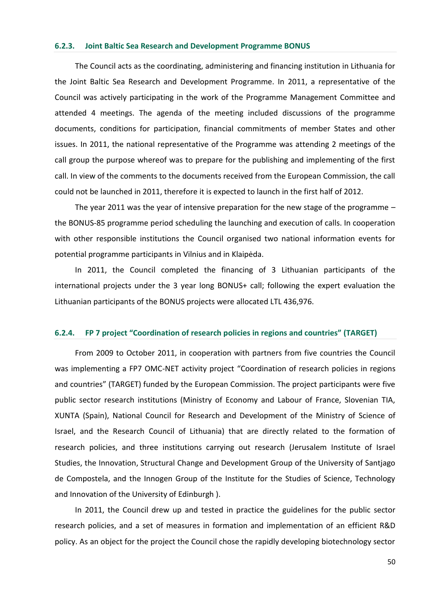#### <span id="page-49-0"></span>**6.2.3. Joint Baltic Sea Research and Development Programme BONUS**

The Council acts as the coordinating, administering and financing institution in Lithuania for the Joint Baltic Sea Research and Development Programme. In 2011, a representative of the Council was actively participating in the work of the Programme Management Committee and attended 4 meetings. The agenda of the meeting included discussions of the programme documents, conditions for participation, financial commitments of member States and other issues. In 2011, the national representative of the Programme was attending 2 meetings of the call group the purpose whereof was to prepare for the publishing and implementing of the first call. In view of the comments to the documents received from the European Commission, the call could not be launched in 2011, therefore it is expected to launch in the first half of 2012.

The year 2011 was the year of intensive preparation for the new stage of the programme  $$ the BONUS-85 programme period scheduling the launching and execution of calls. In cooperation with other responsible institutions the Council organised two national information events for potential programme participants in Vilnius and in Klaipėda.

In 2011, the Council completed the financing of 3 Lithuanian participants of the international projects under the 3 year long BONUS+ call; following the expert evaluation the Lithuanian participants of the BONUS projects were allocated LTL 436,976.

#### <span id="page-49-1"></span>**6.2.4. FP 7 project "Coordination of research policies in regions and countries" (TARGET)**

From 2009 to October 2011, in cooperation with partners from five countries the Council was implementing a FP7 OMC-NET activity project "Coordination of research policies in regions and countries" (TARGET) funded by the European Commission. The project participants were five public sector research institutions (Ministry of Economy and Labour of France, Slovenian TIA, XUNTA (Spain), National Council for Research and Development of the Ministry of Science of Israel, and the Research Council of Lithuania) that are directly related to the formation of research policies, and three institutions carrying out research (Jerusalem Institute of Israel Studies, the Innovation, Structural Change and Development Group of the University of Santjago de Compostela, and the Innogen Group of the Institute for the Studies of Science, Technology and Innovation of the University of Edinburgh ).

In 2011, the Council drew up and tested in practice the guidelines for the public sector research policies, and a set of measures in formation and implementation of an efficient R&D policy. As an object for the project the Council chose the rapidly developing biotechnology sector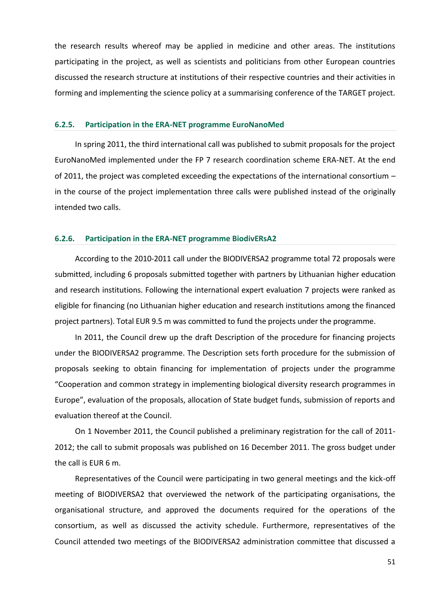the research results whereof may be applied in medicine and other areas. The institutions participating in the project, as well as scientists and politicians from other European countries discussed the research structure at institutions of their respective countries and their activities in forming and implementing the science policy at a summarising conference of the TARGET project.

#### <span id="page-50-0"></span>**6.2.5. Participation in the ERA-NET programme EuroNanoMed**

In spring 2011, the third international call was published to submit proposals for the project EuroNanoMed implemented under the FP 7 research coordination scheme ERA-NET. At the end of 2011, the project was completed exceeding the expectations of the international consortium – in the course of the project implementation three calls were published instead of the originally intended two calls.

#### <span id="page-50-1"></span>**6.2.6. Participation in the ERA-NET programme BiodivERsA2**

According to the 2010-2011 call under the BIODIVERSA2 programme total 72 proposals were submitted, including 6 proposals submitted together with partners by Lithuanian higher education and research institutions. Following the international expert evaluation 7 projects were ranked as eligible for financing (no Lithuanian higher education and research institutions among the financed project partners). Total EUR 9.5 m was committed to fund the projects under the programme.

In 2011, the Council drew up the draft Description of the procedure for financing projects under the BIODIVERSA2 programme. The Description sets forth procedure for the submission of proposals seeking to obtain financing for implementation of projects under the programme "Cooperation and common strategy in implementing biological diversity research programmes in Europe", evaluation of the proposals, allocation of State budget funds, submission of reports and evaluation thereof at the Council.

On 1 November 2011, the Council published a preliminary registration for the call of 2011- 2012; the call to submit proposals was published on 16 December 2011. The gross budget under the call is EUR 6 m.

Representatives of the Council were participating in two general meetings and the kick-off meeting of BIODIVERSA2 that overviewed the network of the participating organisations, the organisational structure, and approved the documents required for the operations of the consortium, as well as discussed the activity schedule. Furthermore, representatives of the Council attended two meetings of the BIODIVERSA2 administration committee that discussed a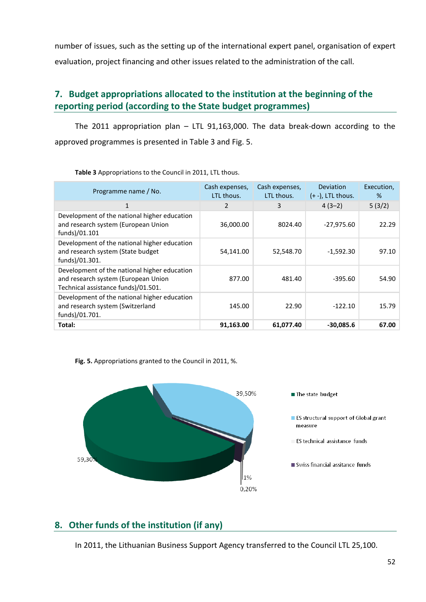number of issues, such as the setting up of the international expert panel, organisation of expert evaluation, project financing and other issues related to the administration of the call.

# <span id="page-51-0"></span>**7. Budget appropriations allocated to the institution at the beginning of the reporting period (according to the State budget programmes)**

The 2011 appropriation plan – LTL 91,163,000. The data break-down according to the approved programmes is presented in Table 3 and Fig. 5.

| Programme name / No.                                                                                                       | Cash expenses,<br>LTL thous. | Cash expenses,<br>LTL thous. | Deviation<br>$(+ -)$ , LTL thous. | Execution,<br>% |
|----------------------------------------------------------------------------------------------------------------------------|------------------------------|------------------------------|-----------------------------------|-----------------|
| 1                                                                                                                          | 2                            | 3                            | $4(3-2)$                          | 5(3/2)          |
| Development of the national higher education<br>and research system (European Union<br>funds)/01.101                       | 36,000.00                    | 8024.40                      | $-27,975.60$                      | 22.29           |
| Development of the national higher education<br>and research system (State budget<br>funds)/01.301.                        | 54,141.00                    | 52,548.70                    | $-1,592.30$                       | 97.10           |
| Development of the national higher education<br>and research system (European Union<br>Technical assistance funds)/01.501. | 877.00                       | 481.40                       | $-395.60$                         | 54.90           |
| Development of the national higher education<br>and research system (Switzerland<br>funds)/01.701.                         | 145.00                       | 22.90                        | $-122.10$                         | 15.79           |
| Total:                                                                                                                     | 91,163.00                    | 61,077.40                    | $-30,085.6$                       | 67.00           |

**Table 3** Appropriations to the Council in 2011, LTL thous.





# <span id="page-51-1"></span>**8. Other funds of the institution (if any)**

In 2011, the Lithuanian Business Support Agency transferred to the Council LTL 25,100.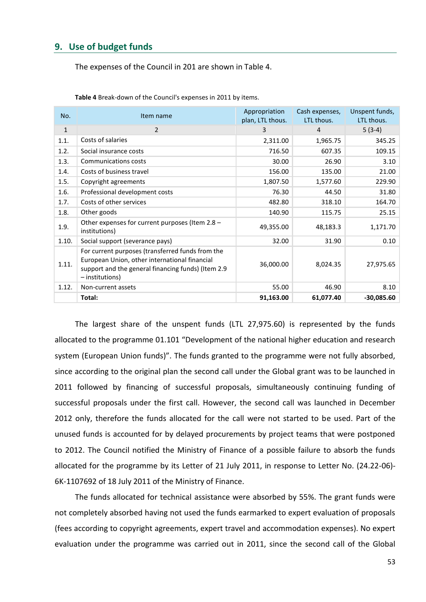## <span id="page-52-0"></span>**9. Use of budget funds**

The expenses of the Council in 201 are shown in Table 4.

| No.          | Item name                                                                                                                                                                  | Appropriation<br>plan, LTL thous. | Cash expenses,<br>LTL thous. | Unspent funds,<br>LTL thous. |
|--------------|----------------------------------------------------------------------------------------------------------------------------------------------------------------------------|-----------------------------------|------------------------------|------------------------------|
| $\mathbf{1}$ | $\overline{2}$                                                                                                                                                             | 3                                 | $\overline{4}$               | $5(3-4)$                     |
| 1.1.         | Costs of salaries                                                                                                                                                          | 2,311.00                          | 1,965.75                     | 345.25                       |
| 1.2.         | Social insurance costs                                                                                                                                                     | 716.50                            | 607.35                       | 109.15                       |
| 1.3.         | Communications costs                                                                                                                                                       | 30.00                             | 26.90                        | 3.10                         |
| 1.4.         | Costs of business travel                                                                                                                                                   | 156.00                            | 135.00                       | 21.00                        |
| 1.5.         | Copyright agreements                                                                                                                                                       | 1,807.50                          | 1,577.60                     | 229.90                       |
| 1.6.         | Professional development costs                                                                                                                                             | 76.30                             | 44.50                        | 31.80                        |
| 1.7.         | Costs of other services                                                                                                                                                    | 482.80                            | 318.10                       | 164.70                       |
| 1.8.         | Other goods                                                                                                                                                                | 140.90                            | 115.75                       | 25.15                        |
| 1.9.         | Other expenses for current purposes (Item 2.8 -<br>institutions)                                                                                                           | 49,355.00                         | 48,183.3                     | 1,171.70                     |
| 1.10.        | Social support (severance pays)                                                                                                                                            | 32.00                             | 31.90                        | 0.10                         |
| 1.11.        | For current purposes (transferred funds from the<br>European Union, other international financial<br>support and the general financing funds) (Item 2.9<br>- institutions) | 36,000.00                         | 8,024.35                     | 27,975.65                    |
| 1.12.        | Non-current assets                                                                                                                                                         | 55.00                             | 46.90                        | 8.10                         |
|              | Total:                                                                                                                                                                     | 91,163.00                         | 61,077.40                    | $-30,085.60$                 |

**Table 4** Break-down of the Council's expenses in 2011 by items.

The largest share of the unspent funds (LTL 27,975.60) is represented by the funds allocated to the programme 01.101 "Development of the national higher education and research system (European Union funds)". The funds granted to the programme were not fully absorbed, since according to the original plan the second call under the Global grant was to be launched in 2011 followed by financing of successful proposals, simultaneously continuing funding of successful proposals under the first call. However, the second call was launched in December 2012 only, therefore the funds allocated for the call were not started to be used. Part of the unused funds is accounted for by delayed procurements by project teams that were postponed to 2012. The Council notified the Ministry of Finance of a possible failure to absorb the funds allocated for the programme by its Letter of 21 July 2011, in response to Letter No. (24.22-06)- 6K-1107692 of 18 July 2011 of the Ministry of Finance.

The funds allocated for technical assistance were absorbed by 55%. The grant funds were not completely absorbed having not used the funds earmarked to expert evaluation of proposals (fees according to copyright agreements, expert travel and accommodation expenses). No expert evaluation under the programme was carried out in 2011, since the second call of the Global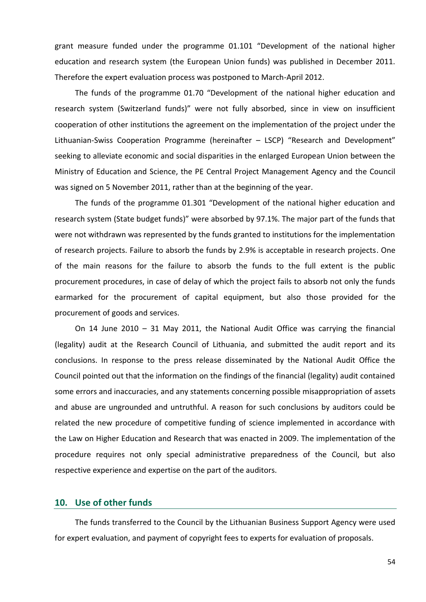grant measure funded under the programme 01.101 "Development of the national higher education and research system (the European Union funds) was published in December 2011. Therefore the expert evaluation process was postponed to March-April 2012.

The funds of the programme 01.70 "Development of the national higher education and research system (Switzerland funds)" were not fully absorbed, since in view on insufficient cooperation of other institutions the agreement on the implementation of the project under the Lithuanian-Swiss Cooperation Programme (hereinafter – LSCP) "Research and Development" seeking to alleviate economic and social disparities in the enlarged European Union between the Ministry of Education and Science, the PE Central Project Management Agency and the Council was signed on 5 November 2011, rather than at the beginning of the year.

The funds of the programme 01.301 "Development of the national higher education and research system (State budget funds)" were absorbed by 97.1%. The major part of the funds that were not withdrawn was represented by the funds granted to institutions for the implementation of research projects. Failure to absorb the funds by 2.9% is acceptable in research projects. One of the main reasons for the failure to absorb the funds to the full extent is the public procurement procedures, in case of delay of which the project fails to absorb not only the funds earmarked for the procurement of capital equipment, but also those provided for the procurement of goods and services.

On 14 June 2010 – 31 May 2011, the National Audit Office was carrying the financial (legality) audit at the Research Council of Lithuania, and submitted the audit report and its conclusions. In response to the press release disseminated by the National Audit Office the Council pointed out that the information on the findings of the financial (legality) audit contained some errors and inaccuracies, and any statements concerning possible misappropriation of assets and abuse are ungrounded and untruthful. A reason for such conclusions by auditors could be related the new procedure of competitive funding of science implemented in accordance with the Law on Higher Education and Research that was enacted in 2009. The implementation of the procedure requires not only special administrative preparedness of the Council, but also respective experience and expertise on the part of the auditors.

## <span id="page-53-0"></span>**10. Use of other funds**

The funds transferred to the Council by the Lithuanian Business Support Agency were used for expert evaluation, and payment of copyright fees to experts for evaluation of proposals.